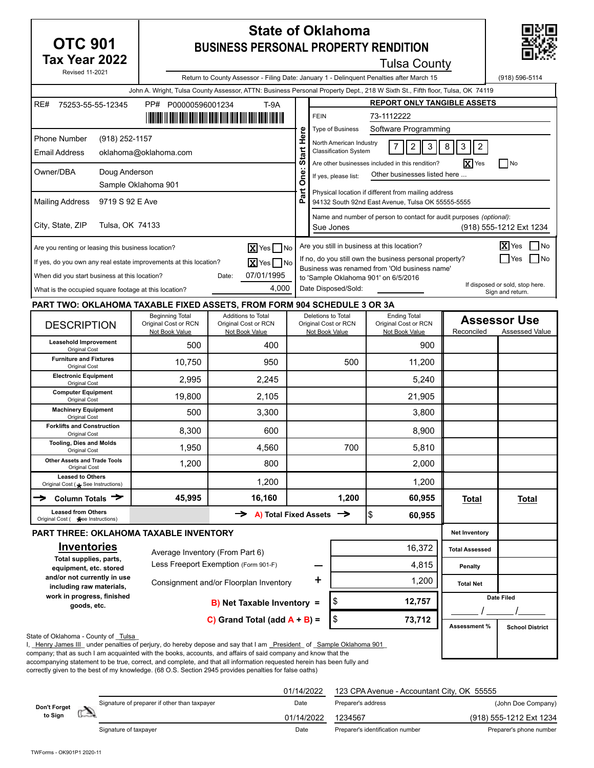| <b>State of Oklahoma</b><br><b>OTC 901</b><br><b>BUSINESS PERSONAL PROPERTY RENDITION</b>                                                                                                                                                                                                                                                                                                                                                                                                                     |                                                                                                                                              |                                                                                                                              |                                                                                                                               |                                                                                                          |                         |                                                                                                          |                                       |                         |
|---------------------------------------------------------------------------------------------------------------------------------------------------------------------------------------------------------------------------------------------------------------------------------------------------------------------------------------------------------------------------------------------------------------------------------------------------------------------------------------------------------------|----------------------------------------------------------------------------------------------------------------------------------------------|------------------------------------------------------------------------------------------------------------------------------|-------------------------------------------------------------------------------------------------------------------------------|----------------------------------------------------------------------------------------------------------|-------------------------|----------------------------------------------------------------------------------------------------------|---------------------------------------|-------------------------|
| Tax Year 2022<br><b>Revised 11-2021</b>                                                                                                                                                                                                                                                                                                                                                                                                                                                                       |                                                                                                                                              |                                                                                                                              |                                                                                                                               |                                                                                                          |                         | <b>Tulsa County</b>                                                                                      |                                       |                         |
|                                                                                                                                                                                                                                                                                                                                                                                                                                                                                                               |                                                                                                                                              | Return to County Assessor - Filing Date: January 1 - Delinguent Penalties after March 15                                     |                                                                                                                               |                                                                                                          |                         |                                                                                                          |                                       | (918) 596-5114          |
|                                                                                                                                                                                                                                                                                                                                                                                                                                                                                                               |                                                                                                                                              | John A. Wright, Tulsa County Assessor, ATTN: Business Personal Property Dept., 218 W Sixth St., Fifth floor, Tulsa, OK 74119 |                                                                                                                               |                                                                                                          |                         |                                                                                                          |                                       |                         |
| RE#<br>75253-55-55-12345                                                                                                                                                                                                                                                                                                                                                                                                                                                                                      | PP# P00000596001234                                                                                                                          | $T-9A$                                                                                                                       |                                                                                                                               | <b>FEIN</b>                                                                                              |                         | <b>REPORT ONLY TANGIBLE ASSETS</b><br>73-1112222                                                         |                                       |                         |
|                                                                                                                                                                                                                                                                                                                                                                                                                                                                                                               |                                                                                                                                              | <u>   ITALIAN III BOIH BOIH BOIH BOIH BIJD BIJD BIJD BIJD BOIH BOIH IDD IIB III</u>                                          |                                                                                                                               |                                                                                                          | <b>Type of Business</b> | Software Programming                                                                                     |                                       |                         |
| <b>Phone Number</b><br>(918) 252-1157<br><b>Email Address</b>                                                                                                                                                                                                                                                                                                                                                                                                                                                 | oklahoma@oklahoma.com                                                                                                                        |                                                                                                                              | Here                                                                                                                          | North American Industry<br>$\sqrt{2}$<br>3<br><b>Classification System</b>                               |                         | 8<br>3<br>$\overline{2}$                                                                                 |                                       |                         |
|                                                                                                                                                                                                                                                                                                                                                                                                                                                                                                               |                                                                                                                                              |                                                                                                                              | Start                                                                                                                         |                                                                                                          |                         | Are other businesses included in this rendition?                                                         | $\mathbf{X}$ Yes                      | $\Box$ No               |
| Owner/DBA<br>Doug Anderson                                                                                                                                                                                                                                                                                                                                                                                                                                                                                    |                                                                                                                                              |                                                                                                                              | Öne:<br>Other businesses listed here<br>If yes, please list:                                                                  |                                                                                                          |                         |                                                                                                          |                                       |                         |
| <b>Mailing Address</b><br>9719 S 92 E Ave                                                                                                                                                                                                                                                                                                                                                                                                                                                                     | Sample Oklahoma 901                                                                                                                          |                                                                                                                              | ă<br>௳                                                                                                                        | Physical location if different from mailing address<br>94132 South 92nd East Avenue, Tulsa OK 55555-5555 |                         |                                                                                                          |                                       |                         |
| City, State, ZIP<br>Tulsa, OK 74133                                                                                                                                                                                                                                                                                                                                                                                                                                                                           |                                                                                                                                              |                                                                                                                              |                                                                                                                               | Name and number of person to contact for audit purposes (optional):<br>Sue Jones                         |                         |                                                                                                          |                                       |                         |
|                                                                                                                                                                                                                                                                                                                                                                                                                                                                                                               |                                                                                                                                              |                                                                                                                              |                                                                                                                               |                                                                                                          |                         |                                                                                                          |                                       | (918) 555-1212 Ext 1234 |
| Are you renting or leasing this business location?                                                                                                                                                                                                                                                                                                                                                                                                                                                            |                                                                                                                                              | $\overline{\mathbf{X}}$ Yes $\Box$ No                                                                                        |                                                                                                                               |                                                                                                          |                         | Are you still in business at this location?                                                              |                                       | X Yes<br>  No           |
| If yes, do you own any real estate improvements at this location?                                                                                                                                                                                                                                                                                                                                                                                                                                             |                                                                                                                                              | $\overline{\mathbf{X}}$ Yes $\Box$ No                                                                                        |                                                                                                                               |                                                                                                          |                         | If no, do you still own the business personal property?<br>Business was renamed from 'Old business name' |                                       | I Yes<br>l No           |
| When did you start business at this location?                                                                                                                                                                                                                                                                                                                                                                                                                                                                 |                                                                                                                                              | 07/01/1995<br>Date:                                                                                                          |                                                                                                                               |                                                                                                          |                         | to 'Sample Oklahoma 901' on 6/5/2016                                                                     |                                       |                         |
|                                                                                                                                                                                                                                                                                                                                                                                                                                                                                                               | If disposed or sold, stop here.<br>4,000<br>Date Disposed/Sold:<br>What is the occupied square footage at this location?<br>Sign and return. |                                                                                                                              |                                                                                                                               |                                                                                                          |                         |                                                                                                          |                                       |                         |
| PART TWO: OKLAHOMA TAXABLE FIXED ASSETS, FROM FORM 904 SCHEDULE 3 OR 3A                                                                                                                                                                                                                                                                                                                                                                                                                                       |                                                                                                                                              |                                                                                                                              |                                                                                                                               |                                                                                                          |                         |                                                                                                          |                                       |                         |
| <b>DESCRIPTION</b>                                                                                                                                                                                                                                                                                                                                                                                                                                                                                            | <b>Beginning Total</b><br>Original Cost or RCN<br>Not Book Value                                                                             | <b>Additions to Total</b><br>Original Cost or RCN<br>Not Book Value                                                          | <b>Ending Total</b><br>Deletions to Total<br>Original Cost or RCN<br>Original Cost or RCN<br>Not Book Value<br>Not Book Value |                                                                                                          |                         | Reconciled                                                                                               | <b>Assessor Use</b><br>Assessed Value |                         |
| Leasehold Improvement<br>Original Cost                                                                                                                                                                                                                                                                                                                                                                                                                                                                        | 500                                                                                                                                          | 400                                                                                                                          |                                                                                                                               |                                                                                                          |                         | 900                                                                                                      |                                       |                         |
| <b>Furniture and Fixtures</b><br>Original Cost                                                                                                                                                                                                                                                                                                                                                                                                                                                                | 10,750                                                                                                                                       | 950                                                                                                                          |                                                                                                                               | 500                                                                                                      |                         | 11,200                                                                                                   |                                       |                         |
| <b>Electronic Equipment</b><br>Original Cost                                                                                                                                                                                                                                                                                                                                                                                                                                                                  | 2,995                                                                                                                                        | 2,245                                                                                                                        |                                                                                                                               |                                                                                                          |                         | 5,240                                                                                                    |                                       |                         |
| <b>Computer Equipment</b><br>Original Cost                                                                                                                                                                                                                                                                                                                                                                                                                                                                    | 19,800                                                                                                                                       | 2,105                                                                                                                        |                                                                                                                               |                                                                                                          |                         | 21,905                                                                                                   |                                       |                         |
| <b>Machinery Equipment</b><br>Original Cost                                                                                                                                                                                                                                                                                                                                                                                                                                                                   | 500                                                                                                                                          | 3,300                                                                                                                        |                                                                                                                               |                                                                                                          |                         | 3.800                                                                                                    |                                       |                         |
| <b>Forklifts and Construction</b><br>Original Cost                                                                                                                                                                                                                                                                                                                                                                                                                                                            | 8,300                                                                                                                                        | 600                                                                                                                          |                                                                                                                               |                                                                                                          |                         | 8,900                                                                                                    |                                       |                         |
| <b>Tooling, Dies and Molds</b><br>Original Cost                                                                                                                                                                                                                                                                                                                                                                                                                                                               | 1,950                                                                                                                                        | 4,560                                                                                                                        |                                                                                                                               | 700                                                                                                      |                         | 5,810                                                                                                    |                                       |                         |
| <b>Other Assets and Trade Tools</b><br>Original Cost                                                                                                                                                                                                                                                                                                                                                                                                                                                          | 1,200                                                                                                                                        | 800                                                                                                                          |                                                                                                                               |                                                                                                          |                         | 2,000                                                                                                    |                                       |                         |
| <b>Leased to Others</b><br>Original Cost ( See Instructions)                                                                                                                                                                                                                                                                                                                                                                                                                                                  |                                                                                                                                              | 1,200                                                                                                                        |                                                                                                                               | 1,200                                                                                                    |                         |                                                                                                          |                                       |                         |
| Column Totals $\rightarrow$                                                                                                                                                                                                                                                                                                                                                                                                                                                                                   | 45,995                                                                                                                                       | 16,160                                                                                                                       |                                                                                                                               |                                                                                                          | 1,200                   | 60,955                                                                                                   | <b>Total</b>                          | <u>Total</u>            |
| <b>Leased from Others</b><br>Original Cost ( See Instructions)                                                                                                                                                                                                                                                                                                                                                                                                                                                |                                                                                                                                              | A) Total Fixed Assets $\rightarrow$                                                                                          |                                                                                                                               |                                                                                                          |                         | \$<br>60,955                                                                                             |                                       |                         |
| <b>PART THREE: OKLAHOMA TAXABLE INVENTORY</b>                                                                                                                                                                                                                                                                                                                                                                                                                                                                 |                                                                                                                                              |                                                                                                                              |                                                                                                                               |                                                                                                          |                         |                                                                                                          | <b>Net Inventory</b>                  |                         |
| <b>Inventories</b>                                                                                                                                                                                                                                                                                                                                                                                                                                                                                            | Average Inventory (From Part 6)                                                                                                              |                                                                                                                              |                                                                                                                               |                                                                                                          |                         | 16,372                                                                                                   | <b>Total Assessed</b>                 |                         |
| Total supplies, parts,<br>equipment, etc. stored                                                                                                                                                                                                                                                                                                                                                                                                                                                              |                                                                                                                                              | Less Freeport Exemption (Form 901-F)                                                                                         |                                                                                                                               |                                                                                                          |                         | 4,815                                                                                                    | <b>Penalty</b>                        |                         |
| and/or not currently in use<br>including raw materials,                                                                                                                                                                                                                                                                                                                                                                                                                                                       |                                                                                                                                              | Consignment and/or Floorplan Inventory                                                                                       |                                                                                                                               |                                                                                                          |                         | 1,200                                                                                                    | <b>Total Net</b>                      |                         |
| work in progress, finished<br>goods, etc.                                                                                                                                                                                                                                                                                                                                                                                                                                                                     |                                                                                                                                              | <b>B)</b> Net Taxable Inventory =                                                                                            |                                                                                                                               |                                                                                                          | \$                      | 12,757                                                                                                   |                                       | <b>Date Filed</b>       |
|                                                                                                                                                                                                                                                                                                                                                                                                                                                                                                               |                                                                                                                                              | C) Grand Total (add $A + B$ ) =                                                                                              |                                                                                                                               |                                                                                                          | \$                      | 73,712                                                                                                   | Assessment %                          | <b>School District</b>  |
| State of Oklahoma - County of Tulsa<br>, Henry James III under penalties of perjury, do hereby depose and say that I am President of Sample Oklahoma 901<br>company; that as such I am acquainted with the books, accounts, and affairs of said company and know that the<br>accompanying statement to be true, correct, and complete, and that all information requested herein has been fully and<br>correctly given to the best of my knowledge. (68 O.S. Section 2945 provides penalties for false oaths) |                                                                                                                                              |                                                                                                                              |                                                                                                                               |                                                                                                          |                         |                                                                                                          |                                       |                         |

|                         |                                              | 01/14/2022 | 123 CPA Avenue - Accountant City, OK 55555 |                         |
|-------------------------|----------------------------------------------|------------|--------------------------------------------|-------------------------|
|                         | Signature of preparer if other than taxpayer | Date       | Preparer's address                         | (John Doe Company)      |
| Don't Forget<br>to Sign |                                              | 01/14/2022 | 1234567                                    | (918) 555-1212 Ext 1234 |
|                         | Signature of taxpayer                        | Date       | Preparer's identification number           | Preparer's phone number |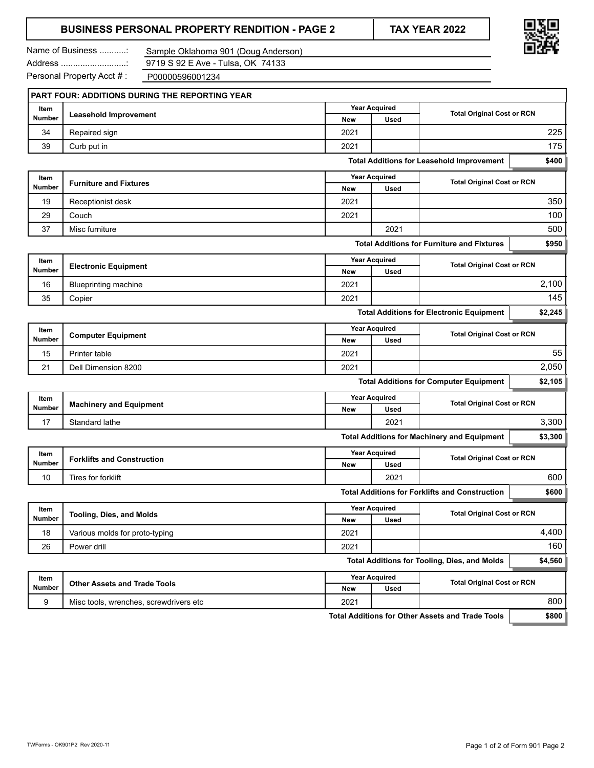### **BUSINESS PERSONAL PROPERTY RENDITION - PAGE 2 TAX YEAR 2022**



Name of Business ...........:

Sample Oklahoma 901 (Doug Anderson) 9719 S 92 E Ave - Tulsa, OK 74133

Personal Property Acct # :

Address ...........................: P00000596001234

|               | PART FOUR: ADDITIONS DURING THE REPORTING YEAR |                      |                                                           |                                                         |         |  |
|---------------|------------------------------------------------|----------------------|-----------------------------------------------------------|---------------------------------------------------------|---------|--|
| Item          | <b>Leasehold Improvement</b>                   |                      | <b>Year Acquired</b>                                      | <b>Total Original Cost or RCN</b>                       |         |  |
| Number        |                                                | New                  | Used                                                      |                                                         |         |  |
| 34            | Repaired sign                                  | 2021                 |                                                           |                                                         | 225     |  |
| 39            | Curb put in                                    | 2021                 |                                                           |                                                         | 175     |  |
|               |                                                |                      |                                                           | <b>Total Additions for Leasehold Improvement</b>        | \$400   |  |
| Item          | <b>Furniture and Fixtures</b>                  |                      | <b>Year Acquired</b>                                      | <b>Total Original Cost or RCN</b>                       |         |  |
| Number        |                                                | New                  | <b>Used</b>                                               |                                                         |         |  |
| 19            | Receptionist desk                              | 2021                 |                                                           |                                                         | 350     |  |
| 29            | Couch                                          | 2021                 |                                                           |                                                         | 100     |  |
| 37            | Misc furniture                                 |                      | 2021                                                      |                                                         | 500     |  |
|               |                                                |                      |                                                           | <b>Total Additions for Furniture and Fixtures</b>       | \$950   |  |
| Item          |                                                |                      | <b>Year Acquired</b>                                      | <b>Total Original Cost or RCN</b>                       |         |  |
| Number        | <b>Electronic Equipment</b>                    | New                  | Used                                                      |                                                         |         |  |
| 16            | <b>Blueprinting machine</b>                    | 2021                 |                                                           |                                                         | 2,100   |  |
| 35            | Copier                                         | 2021                 |                                                           |                                                         | 145     |  |
|               |                                                |                      |                                                           | <b>Total Additions for Electronic Equipment</b>         | \$2,245 |  |
| Item          |                                                |                      | <b>Year Acquired</b>                                      |                                                         |         |  |
| <b>Number</b> | <b>Computer Equipment</b>                      | New                  | <b>Used</b>                                               | <b>Total Original Cost or RCN</b>                       |         |  |
| 15            | Printer table                                  | 2021                 |                                                           |                                                         |         |  |
| 21            | Dell Dimension 8200                            | 2021                 |                                                           |                                                         | 2,050   |  |
|               |                                                |                      |                                                           | <b>Total Additions for Computer Equipment</b>           | \$2,105 |  |
| Item          |                                                |                      | <b>Year Acquired</b><br><b>Total Original Cost or RCN</b> |                                                         |         |  |
| Number        | <b>Machinery and Equipment</b>                 | New                  | <b>Used</b>                                               |                                                         |         |  |
| 17            | Standard lathe                                 |                      | 2021                                                      |                                                         | 3,300   |  |
|               |                                                |                      |                                                           | <b>Total Additions for Machinery and Equipment</b>      | \$3,300 |  |
| Item          |                                                |                      | <b>Year Acquired</b><br><b>Total Original Cost or RCN</b> |                                                         |         |  |
| Number        | <b>Forklifts and Construction</b>              | New                  | Used                                                      |                                                         |         |  |
| 10            | Tires for forklift                             |                      | 2021                                                      |                                                         | 600     |  |
|               |                                                |                      |                                                           | <b>Total Additions for Forklifts and Construction</b>   | \$600   |  |
| Item          |                                                |                      | <b>Year Acquired</b>                                      | <b>Total Original Cost or RCN</b>                       |         |  |
| <b>Number</b> | <b>Tooling, Dies, and Molds</b>                | <b>New</b>           | <b>Used</b>                                               |                                                         |         |  |
| 18            | Various molds for proto-typing                 | 2021                 |                                                           |                                                         | 4,400   |  |
| 26            | Power drill                                    | 2021                 |                                                           |                                                         | 160     |  |
|               |                                                |                      |                                                           | <b>Total Additions for Tooling, Dies, and Molds</b>     | \$4,560 |  |
| Item          |                                                | <b>Year Acquired</b> |                                                           |                                                         |         |  |
| Number        | <b>Other Assets and Trade Tools</b>            | New                  | Used                                                      | <b>Total Original Cost or RCN</b>                       |         |  |
| 9             | Misc tools, wrenches, screwdrivers etc         | 2021                 |                                                           |                                                         | 800     |  |
|               |                                                |                      |                                                           | <b>Total Additions for Other Assets and Trade Tools</b> | \$800   |  |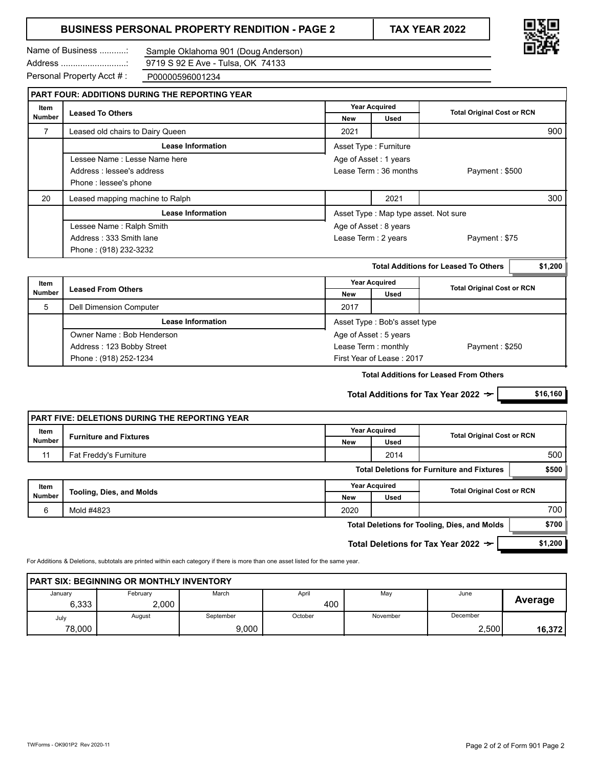### **BUSINESS PERSONAL PROPERTY RENDITION - PAGE 2 TAX YEAR 2022**

Name of Business ...........:

Sample Oklahoma 901 (Doug Anderson) 9719 S 92 E Ave - Tulsa, OK 74133

Address ...........................: Personal Property Acct # :

P00000596001234

|                               | <b>PART FOUR: ADDITIONS DURING THE REPORTING YEAR</b> |                       |                                      |                                   |  |  |  |
|-------------------------------|-------------------------------------------------------|-----------------------|--------------------------------------|-----------------------------------|--|--|--|
| Item                          |                                                       |                       | <b>Year Acquired</b>                 | <b>Total Original Cost or RCN</b> |  |  |  |
| <b>Number</b>                 | <b>Leased To Others</b>                               | <b>New</b>            | <b>Used</b>                          |                                   |  |  |  |
| 7                             | Leased old chairs to Dairy Queen                      | 2021                  |                                      | 900                               |  |  |  |
|                               | Lease Information                                     |                       | Asset Type: Furniture                |                                   |  |  |  |
| Lessee Name : Lesse Name here |                                                       | Age of Asset: 1 years |                                      |                                   |  |  |  |
|                               | Address : lessee's address                            |                       | Lease Term: 36 months                | Payment: \$500                    |  |  |  |
|                               | Phone: lessee's phone                                 |                       |                                      |                                   |  |  |  |
| 20                            | Leased mapping machine to Ralph                       |                       | 2021                                 | 300                               |  |  |  |
|                               | <b>Lease Information</b>                              |                       | Asset Type: Map type asset. Not sure |                                   |  |  |  |
|                               | Lessee Name: Ralph Smith                              |                       | Age of Asset: 8 years                |                                   |  |  |  |
|                               | Address: 333 Smith lane                               | Lease Term: 2 years   |                                      | Payment: \$75                     |  |  |  |
|                               | Phone: (918) 232-3232                                 |                       |                                      |                                   |  |  |  |

|                           |                                                       |             |                      | \$1,200                                                                                                                         |
|---------------------------|-------------------------------------------------------|-------------|----------------------|---------------------------------------------------------------------------------------------------------------------------------|
| <b>Leased From Others</b> |                                                       |             |                      |                                                                                                                                 |
|                           |                                                       | <b>Used</b> |                      |                                                                                                                                 |
| Dell Dimension Computer   | 2017                                                  |             |                      |                                                                                                                                 |
| <b>Lease Information</b>  | Asset Type: Bob's asset type<br>Age of Asset: 5 years |             |                      |                                                                                                                                 |
| Owner Name: Bob Henderson |                                                       |             |                      |                                                                                                                                 |
| Address: 123 Bobby Street | Lease Term: monthly                                   |             |                      |                                                                                                                                 |
| Phone: (918) 252-1234     |                                                       |             |                      |                                                                                                                                 |
|                           |                                                       | New         | <b>Year Acquired</b> | <b>Total Additions for Leased To Others</b><br><b>Total Original Cost or RCN</b><br>Payment: \$250<br>First Year of Lease: 2017 |

**Total Additions for Leased From Others**

**Total Additions for Tax Year 2022**  $\rightarrow$  **| \$16,160** 

|                                                 | <b>PART FIVE: DELETIONS DURING THE REPORTING YEAR</b> |                      |                      |                                                     |         |
|-------------------------------------------------|-------------------------------------------------------|----------------------|----------------------|-----------------------------------------------------|---------|
| Item                                            | <b>Furniture and Fixtures</b>                         |                      | <b>Year Acquired</b> | <b>Total Original Cost or RCN</b>                   |         |
| <b>Number</b>                                   |                                                       | New                  | Used                 |                                                     |         |
| 11                                              | Fat Freddy's Furniture                                |                      | 2014                 |                                                     | 500     |
|                                                 |                                                       |                      |                      | <b>Total Deletions for Furniture and Fixtures</b>   | \$500   |
| Item                                            |                                                       | <b>Year Acquired</b> |                      | <b>Total Original Cost or RCN</b>                   |         |
| <b>Number</b>                                   | <b>Tooling, Dies, and Molds</b>                       | <b>New</b>           | Used                 |                                                     |         |
| 6                                               | Mold #4823                                            | 2020                 |                      |                                                     | 700     |
|                                                 |                                                       |                      |                      | <b>Total Deletions for Tooling, Dies, and Molds</b> | \$700   |
| Total Deletions for Tax Year 2022 $\rightarrow$ |                                                       |                      |                      |                                                     | \$1,200 |

For Additions & Deletions, subtotals are printed within each category if there is more than one asset listed for the same year.

| <b>PART SIX: BEGINNING OR MONTHLY INVENTORY</b> |          |           |         |          |          |         |  |
|-------------------------------------------------|----------|-----------|---------|----------|----------|---------|--|
| January                                         | February | March     | April   | May      | June     |         |  |
| 6.333                                           | 2.000    |           | 400     |          |          | Average |  |
| July                                            | August   | September | October | November | December |         |  |
| 78,000                                          |          | 9.000     |         |          | 2.500    | 16,372  |  |

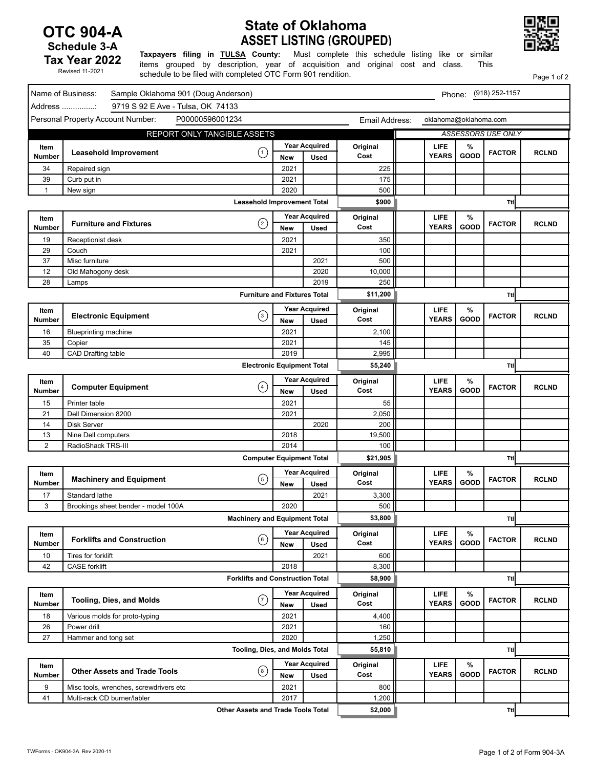### **OTC 904-A Schedule 3-A Tax Year 2022**

Revised 11-2021

### **ASSET LISTING (GROUPED) State of Oklahoma**



Page 1 of 2

**Taxpayers filing in TULSA County:** Must complete this schedule listing like or similar items grouped by description, year of acquisition and original cost and class. This schedule to be filed with completed OTC Form 901 rendition.

| 9719 S 92 E Ave - Tulsa, OK 74133<br>Address :<br>Personal Property Account Number:<br>P00000596001234<br>oklahoma@oklahoma.com<br>Email Address:<br>REPORT ONLY TANGIBLE ASSETS<br><b>ASSESSORS USE ONLY</b><br><b>Year Acquired</b><br>Original<br>LIFE<br>%<br>Item<br>$\left( 1\right)$<br><b>Leasehold Improvement</b><br><b>FACTOR</b><br><b>RCLND</b><br>GOOD<br><b>YEARS</b><br>Cost<br>Number<br><b>Used</b><br><b>New</b><br>2021<br>225<br>34<br>Repaired sign<br>39<br>2021<br>175<br>Curb put in<br>500<br>2020<br>1<br>New sign<br>\$900<br><b>Leasehold Improvement Total</b><br>Ttl<br><b>Year Acquired</b><br><b>LIFE</b><br>%<br>Original<br>Item<br>$\circled{2}$<br><b>Furniture and Fixtures</b><br><b>FACTOR</b><br><b>RCLND</b><br><b>YEARS</b><br>GOOD<br>Cost<br>Number<br><b>New</b><br>Used<br>2021<br>350<br>19<br>Receptionist desk<br>29<br>2021<br>100<br>Couch<br>37<br>500<br>Misc furniture<br>2021<br>12<br>Old Mahogony desk<br>2020<br>10,000<br>28<br>2019<br>250<br>Lamps<br><b>Furniture and Fixtures Total</b><br>\$11,200<br>Ttl<br><b>Year Acquired</b><br><b>LIFE</b><br>Original<br>$\%$<br>Item<br>$\odot$<br><b>Electronic Equipment</b><br><b>RCLND</b><br><b>FACTOR</b><br><b>YEARS</b><br>GOOD<br>Cost<br>Number<br><b>New</b><br>Used<br>2021<br>2,100<br>16<br><b>Blueprinting machine</b><br>35<br>2021<br>145<br>Copier<br>CAD Drafting table<br>2019<br>2,995<br>40<br><b>Electronic Equipment Total</b><br>\$5,240<br>Ttl<br><b>Year Acquired</b><br><b>LIFE</b><br>%<br>Original<br>Item<br>$\bigodot$<br><b>Computer Equipment</b><br><b>FACTOR</b><br><b>RCLND</b><br><b>YEARS</b><br>GOOD<br>Cost<br>Number<br><b>New</b><br>Used<br>2021<br>55<br>15<br>Printer table<br>21<br>2021<br>2,050<br>Dell Dimension 8200<br>14<br>Disk Server<br>2020<br>200<br>2018<br>19,500<br>13<br>Nine Dell computers<br>$\overline{c}$<br>RadioShack TRS-III<br>2014<br>100<br><b>Computer Equipment Total</b><br>\$21,905<br>Ttl<br><b>Year Acquired</b><br><b>LIFE</b><br>%<br>Original<br>Item<br>$\odot$<br><b>Machinery and Equipment</b><br><b>FACTOR</b><br><b>RCLND</b><br>GOOD<br><b>YEARS</b><br>Cost<br>Number<br>Used<br><b>New</b><br>Standard lathe<br>2021<br>3,300<br>17<br>3<br>2020<br>500<br>Brookings sheet bender - model 100A<br>\$3,800<br><b>Machinery and Equipment Total</b><br><b>Ttl</b><br><b>Year Acquired</b><br>Original<br><b>LIFE</b><br>%<br>Item<br>$\odot$<br><b>Forklifts and Construction</b><br><b>RCLND</b><br><b>FACTOR</b><br><b>YEARS</b><br>GOOD<br>Cost<br>Number<br><b>Used</b><br><b>New</b><br>2021<br>600<br>10<br>Tires for forklift<br>42<br><b>CASE</b> forklift<br>2018<br>8,300<br><b>Forklifts and Construction Total</b><br>\$8,900<br>Ttl<br><b>Year Acquired</b><br>Original<br><b>LIFE</b><br>%<br>Item<br>(7)<br><b>Tooling, Dies, and Molds</b><br><b>FACTOR</b><br><b>RCLND</b><br>GOOD<br><b>YEARS</b><br>Cost<br>Number<br>Used<br>New<br>2021<br>4,400<br>18<br>Various molds for proto-typing<br>26<br>Power drill<br>2021<br>160<br>27<br>2020<br>1,250<br>Hammer and tong set |
|---------------------------------------------------------------------------------------------------------------------------------------------------------------------------------------------------------------------------------------------------------------------------------------------------------------------------------------------------------------------------------------------------------------------------------------------------------------------------------------------------------------------------------------------------------------------------------------------------------------------------------------------------------------------------------------------------------------------------------------------------------------------------------------------------------------------------------------------------------------------------------------------------------------------------------------------------------------------------------------------------------------------------------------------------------------------------------------------------------------------------------------------------------------------------------------------------------------------------------------------------------------------------------------------------------------------------------------------------------------------------------------------------------------------------------------------------------------------------------------------------------------------------------------------------------------------------------------------------------------------------------------------------------------------------------------------------------------------------------------------------------------------------------------------------------------------------------------------------------------------------------------------------------------------------------------------------------------------------------------------------------------------------------------------------------------------------------------------------------------------------------------------------------------------------------------------------------------------------------------------------------------------------------------------------------------------------------------------------------------------------------------------------------------------------------------------------------------------------------------------------------------------------------------------------------------------------------------------------------------------------------------------------------------------------------------------------------------------------------------------------------------------------------------------------------------------------------------------------------------------------------------------------------------------------------------------------------------------------------------------------------------------------------------------------------------------------------------------------|
|                                                                                                                                                                                                                                                                                                                                                                                                                                                                                                                                                                                                                                                                                                                                                                                                                                                                                                                                                                                                                                                                                                                                                                                                                                                                                                                                                                                                                                                                                                                                                                                                                                                                                                                                                                                                                                                                                                                                                                                                                                                                                                                                                                                                                                                                                                                                                                                                                                                                                                                                                                                                                                                                                                                                                                                                                                                                                                                                                                                                                                                                                                   |
|                                                                                                                                                                                                                                                                                                                                                                                                                                                                                                                                                                                                                                                                                                                                                                                                                                                                                                                                                                                                                                                                                                                                                                                                                                                                                                                                                                                                                                                                                                                                                                                                                                                                                                                                                                                                                                                                                                                                                                                                                                                                                                                                                                                                                                                                                                                                                                                                                                                                                                                                                                                                                                                                                                                                                                                                                                                                                                                                                                                                                                                                                                   |
|                                                                                                                                                                                                                                                                                                                                                                                                                                                                                                                                                                                                                                                                                                                                                                                                                                                                                                                                                                                                                                                                                                                                                                                                                                                                                                                                                                                                                                                                                                                                                                                                                                                                                                                                                                                                                                                                                                                                                                                                                                                                                                                                                                                                                                                                                                                                                                                                                                                                                                                                                                                                                                                                                                                                                                                                                                                                                                                                                                                                                                                                                                   |
|                                                                                                                                                                                                                                                                                                                                                                                                                                                                                                                                                                                                                                                                                                                                                                                                                                                                                                                                                                                                                                                                                                                                                                                                                                                                                                                                                                                                                                                                                                                                                                                                                                                                                                                                                                                                                                                                                                                                                                                                                                                                                                                                                                                                                                                                                                                                                                                                                                                                                                                                                                                                                                                                                                                                                                                                                                                                                                                                                                                                                                                                                                   |
|                                                                                                                                                                                                                                                                                                                                                                                                                                                                                                                                                                                                                                                                                                                                                                                                                                                                                                                                                                                                                                                                                                                                                                                                                                                                                                                                                                                                                                                                                                                                                                                                                                                                                                                                                                                                                                                                                                                                                                                                                                                                                                                                                                                                                                                                                                                                                                                                                                                                                                                                                                                                                                                                                                                                                                                                                                                                                                                                                                                                                                                                                                   |
|                                                                                                                                                                                                                                                                                                                                                                                                                                                                                                                                                                                                                                                                                                                                                                                                                                                                                                                                                                                                                                                                                                                                                                                                                                                                                                                                                                                                                                                                                                                                                                                                                                                                                                                                                                                                                                                                                                                                                                                                                                                                                                                                                                                                                                                                                                                                                                                                                                                                                                                                                                                                                                                                                                                                                                                                                                                                                                                                                                                                                                                                                                   |
|                                                                                                                                                                                                                                                                                                                                                                                                                                                                                                                                                                                                                                                                                                                                                                                                                                                                                                                                                                                                                                                                                                                                                                                                                                                                                                                                                                                                                                                                                                                                                                                                                                                                                                                                                                                                                                                                                                                                                                                                                                                                                                                                                                                                                                                                                                                                                                                                                                                                                                                                                                                                                                                                                                                                                                                                                                                                                                                                                                                                                                                                                                   |
|                                                                                                                                                                                                                                                                                                                                                                                                                                                                                                                                                                                                                                                                                                                                                                                                                                                                                                                                                                                                                                                                                                                                                                                                                                                                                                                                                                                                                                                                                                                                                                                                                                                                                                                                                                                                                                                                                                                                                                                                                                                                                                                                                                                                                                                                                                                                                                                                                                                                                                                                                                                                                                                                                                                                                                                                                                                                                                                                                                                                                                                                                                   |
|                                                                                                                                                                                                                                                                                                                                                                                                                                                                                                                                                                                                                                                                                                                                                                                                                                                                                                                                                                                                                                                                                                                                                                                                                                                                                                                                                                                                                                                                                                                                                                                                                                                                                                                                                                                                                                                                                                                                                                                                                                                                                                                                                                                                                                                                                                                                                                                                                                                                                                                                                                                                                                                                                                                                                                                                                                                                                                                                                                                                                                                                                                   |
|                                                                                                                                                                                                                                                                                                                                                                                                                                                                                                                                                                                                                                                                                                                                                                                                                                                                                                                                                                                                                                                                                                                                                                                                                                                                                                                                                                                                                                                                                                                                                                                                                                                                                                                                                                                                                                                                                                                                                                                                                                                                                                                                                                                                                                                                                                                                                                                                                                                                                                                                                                                                                                                                                                                                                                                                                                                                                                                                                                                                                                                                                                   |
|                                                                                                                                                                                                                                                                                                                                                                                                                                                                                                                                                                                                                                                                                                                                                                                                                                                                                                                                                                                                                                                                                                                                                                                                                                                                                                                                                                                                                                                                                                                                                                                                                                                                                                                                                                                                                                                                                                                                                                                                                                                                                                                                                                                                                                                                                                                                                                                                                                                                                                                                                                                                                                                                                                                                                                                                                                                                                                                                                                                                                                                                                                   |
|                                                                                                                                                                                                                                                                                                                                                                                                                                                                                                                                                                                                                                                                                                                                                                                                                                                                                                                                                                                                                                                                                                                                                                                                                                                                                                                                                                                                                                                                                                                                                                                                                                                                                                                                                                                                                                                                                                                                                                                                                                                                                                                                                                                                                                                                                                                                                                                                                                                                                                                                                                                                                                                                                                                                                                                                                                                                                                                                                                                                                                                                                                   |
|                                                                                                                                                                                                                                                                                                                                                                                                                                                                                                                                                                                                                                                                                                                                                                                                                                                                                                                                                                                                                                                                                                                                                                                                                                                                                                                                                                                                                                                                                                                                                                                                                                                                                                                                                                                                                                                                                                                                                                                                                                                                                                                                                                                                                                                                                                                                                                                                                                                                                                                                                                                                                                                                                                                                                                                                                                                                                                                                                                                                                                                                                                   |
|                                                                                                                                                                                                                                                                                                                                                                                                                                                                                                                                                                                                                                                                                                                                                                                                                                                                                                                                                                                                                                                                                                                                                                                                                                                                                                                                                                                                                                                                                                                                                                                                                                                                                                                                                                                                                                                                                                                                                                                                                                                                                                                                                                                                                                                                                                                                                                                                                                                                                                                                                                                                                                                                                                                                                                                                                                                                                                                                                                                                                                                                                                   |
|                                                                                                                                                                                                                                                                                                                                                                                                                                                                                                                                                                                                                                                                                                                                                                                                                                                                                                                                                                                                                                                                                                                                                                                                                                                                                                                                                                                                                                                                                                                                                                                                                                                                                                                                                                                                                                                                                                                                                                                                                                                                                                                                                                                                                                                                                                                                                                                                                                                                                                                                                                                                                                                                                                                                                                                                                                                                                                                                                                                                                                                                                                   |
|                                                                                                                                                                                                                                                                                                                                                                                                                                                                                                                                                                                                                                                                                                                                                                                                                                                                                                                                                                                                                                                                                                                                                                                                                                                                                                                                                                                                                                                                                                                                                                                                                                                                                                                                                                                                                                                                                                                                                                                                                                                                                                                                                                                                                                                                                                                                                                                                                                                                                                                                                                                                                                                                                                                                                                                                                                                                                                                                                                                                                                                                                                   |
|                                                                                                                                                                                                                                                                                                                                                                                                                                                                                                                                                                                                                                                                                                                                                                                                                                                                                                                                                                                                                                                                                                                                                                                                                                                                                                                                                                                                                                                                                                                                                                                                                                                                                                                                                                                                                                                                                                                                                                                                                                                                                                                                                                                                                                                                                                                                                                                                                                                                                                                                                                                                                                                                                                                                                                                                                                                                                                                                                                                                                                                                                                   |
|                                                                                                                                                                                                                                                                                                                                                                                                                                                                                                                                                                                                                                                                                                                                                                                                                                                                                                                                                                                                                                                                                                                                                                                                                                                                                                                                                                                                                                                                                                                                                                                                                                                                                                                                                                                                                                                                                                                                                                                                                                                                                                                                                                                                                                                                                                                                                                                                                                                                                                                                                                                                                                                                                                                                                                                                                                                                                                                                                                                                                                                                                                   |
|                                                                                                                                                                                                                                                                                                                                                                                                                                                                                                                                                                                                                                                                                                                                                                                                                                                                                                                                                                                                                                                                                                                                                                                                                                                                                                                                                                                                                                                                                                                                                                                                                                                                                                                                                                                                                                                                                                                                                                                                                                                                                                                                                                                                                                                                                                                                                                                                                                                                                                                                                                                                                                                                                                                                                                                                                                                                                                                                                                                                                                                                                                   |
|                                                                                                                                                                                                                                                                                                                                                                                                                                                                                                                                                                                                                                                                                                                                                                                                                                                                                                                                                                                                                                                                                                                                                                                                                                                                                                                                                                                                                                                                                                                                                                                                                                                                                                                                                                                                                                                                                                                                                                                                                                                                                                                                                                                                                                                                                                                                                                                                                                                                                                                                                                                                                                                                                                                                                                                                                                                                                                                                                                                                                                                                                                   |
|                                                                                                                                                                                                                                                                                                                                                                                                                                                                                                                                                                                                                                                                                                                                                                                                                                                                                                                                                                                                                                                                                                                                                                                                                                                                                                                                                                                                                                                                                                                                                                                                                                                                                                                                                                                                                                                                                                                                                                                                                                                                                                                                                                                                                                                                                                                                                                                                                                                                                                                                                                                                                                                                                                                                                                                                                                                                                                                                                                                                                                                                                                   |
|                                                                                                                                                                                                                                                                                                                                                                                                                                                                                                                                                                                                                                                                                                                                                                                                                                                                                                                                                                                                                                                                                                                                                                                                                                                                                                                                                                                                                                                                                                                                                                                                                                                                                                                                                                                                                                                                                                                                                                                                                                                                                                                                                                                                                                                                                                                                                                                                                                                                                                                                                                                                                                                                                                                                                                                                                                                                                                                                                                                                                                                                                                   |
|                                                                                                                                                                                                                                                                                                                                                                                                                                                                                                                                                                                                                                                                                                                                                                                                                                                                                                                                                                                                                                                                                                                                                                                                                                                                                                                                                                                                                                                                                                                                                                                                                                                                                                                                                                                                                                                                                                                                                                                                                                                                                                                                                                                                                                                                                                                                                                                                                                                                                                                                                                                                                                                                                                                                                                                                                                                                                                                                                                                                                                                                                                   |
|                                                                                                                                                                                                                                                                                                                                                                                                                                                                                                                                                                                                                                                                                                                                                                                                                                                                                                                                                                                                                                                                                                                                                                                                                                                                                                                                                                                                                                                                                                                                                                                                                                                                                                                                                                                                                                                                                                                                                                                                                                                                                                                                                                                                                                                                                                                                                                                                                                                                                                                                                                                                                                                                                                                                                                                                                                                                                                                                                                                                                                                                                                   |
|                                                                                                                                                                                                                                                                                                                                                                                                                                                                                                                                                                                                                                                                                                                                                                                                                                                                                                                                                                                                                                                                                                                                                                                                                                                                                                                                                                                                                                                                                                                                                                                                                                                                                                                                                                                                                                                                                                                                                                                                                                                                                                                                                                                                                                                                                                                                                                                                                                                                                                                                                                                                                                                                                                                                                                                                                                                                                                                                                                                                                                                                                                   |
|                                                                                                                                                                                                                                                                                                                                                                                                                                                                                                                                                                                                                                                                                                                                                                                                                                                                                                                                                                                                                                                                                                                                                                                                                                                                                                                                                                                                                                                                                                                                                                                                                                                                                                                                                                                                                                                                                                                                                                                                                                                                                                                                                                                                                                                                                                                                                                                                                                                                                                                                                                                                                                                                                                                                                                                                                                                                                                                                                                                                                                                                                                   |
|                                                                                                                                                                                                                                                                                                                                                                                                                                                                                                                                                                                                                                                                                                                                                                                                                                                                                                                                                                                                                                                                                                                                                                                                                                                                                                                                                                                                                                                                                                                                                                                                                                                                                                                                                                                                                                                                                                                                                                                                                                                                                                                                                                                                                                                                                                                                                                                                                                                                                                                                                                                                                                                                                                                                                                                                                                                                                                                                                                                                                                                                                                   |
|                                                                                                                                                                                                                                                                                                                                                                                                                                                                                                                                                                                                                                                                                                                                                                                                                                                                                                                                                                                                                                                                                                                                                                                                                                                                                                                                                                                                                                                                                                                                                                                                                                                                                                                                                                                                                                                                                                                                                                                                                                                                                                                                                                                                                                                                                                                                                                                                                                                                                                                                                                                                                                                                                                                                                                                                                                                                                                                                                                                                                                                                                                   |
|                                                                                                                                                                                                                                                                                                                                                                                                                                                                                                                                                                                                                                                                                                                                                                                                                                                                                                                                                                                                                                                                                                                                                                                                                                                                                                                                                                                                                                                                                                                                                                                                                                                                                                                                                                                                                                                                                                                                                                                                                                                                                                                                                                                                                                                                                                                                                                                                                                                                                                                                                                                                                                                                                                                                                                                                                                                                                                                                                                                                                                                                                                   |
|                                                                                                                                                                                                                                                                                                                                                                                                                                                                                                                                                                                                                                                                                                                                                                                                                                                                                                                                                                                                                                                                                                                                                                                                                                                                                                                                                                                                                                                                                                                                                                                                                                                                                                                                                                                                                                                                                                                                                                                                                                                                                                                                                                                                                                                                                                                                                                                                                                                                                                                                                                                                                                                                                                                                                                                                                                                                                                                                                                                                                                                                                                   |
|                                                                                                                                                                                                                                                                                                                                                                                                                                                                                                                                                                                                                                                                                                                                                                                                                                                                                                                                                                                                                                                                                                                                                                                                                                                                                                                                                                                                                                                                                                                                                                                                                                                                                                                                                                                                                                                                                                                                                                                                                                                                                                                                                                                                                                                                                                                                                                                                                                                                                                                                                                                                                                                                                                                                                                                                                                                                                                                                                                                                                                                                                                   |
|                                                                                                                                                                                                                                                                                                                                                                                                                                                                                                                                                                                                                                                                                                                                                                                                                                                                                                                                                                                                                                                                                                                                                                                                                                                                                                                                                                                                                                                                                                                                                                                                                                                                                                                                                                                                                                                                                                                                                                                                                                                                                                                                                                                                                                                                                                                                                                                                                                                                                                                                                                                                                                                                                                                                                                                                                                                                                                                                                                                                                                                                                                   |
|                                                                                                                                                                                                                                                                                                                                                                                                                                                                                                                                                                                                                                                                                                                                                                                                                                                                                                                                                                                                                                                                                                                                                                                                                                                                                                                                                                                                                                                                                                                                                                                                                                                                                                                                                                                                                                                                                                                                                                                                                                                                                                                                                                                                                                                                                                                                                                                                                                                                                                                                                                                                                                                                                                                                                                                                                                                                                                                                                                                                                                                                                                   |
|                                                                                                                                                                                                                                                                                                                                                                                                                                                                                                                                                                                                                                                                                                                                                                                                                                                                                                                                                                                                                                                                                                                                                                                                                                                                                                                                                                                                                                                                                                                                                                                                                                                                                                                                                                                                                                                                                                                                                                                                                                                                                                                                                                                                                                                                                                                                                                                                                                                                                                                                                                                                                                                                                                                                                                                                                                                                                                                                                                                                                                                                                                   |
|                                                                                                                                                                                                                                                                                                                                                                                                                                                                                                                                                                                                                                                                                                                                                                                                                                                                                                                                                                                                                                                                                                                                                                                                                                                                                                                                                                                                                                                                                                                                                                                                                                                                                                                                                                                                                                                                                                                                                                                                                                                                                                                                                                                                                                                                                                                                                                                                                                                                                                                                                                                                                                                                                                                                                                                                                                                                                                                                                                                                                                                                                                   |
|                                                                                                                                                                                                                                                                                                                                                                                                                                                                                                                                                                                                                                                                                                                                                                                                                                                                                                                                                                                                                                                                                                                                                                                                                                                                                                                                                                                                                                                                                                                                                                                                                                                                                                                                                                                                                                                                                                                                                                                                                                                                                                                                                                                                                                                                                                                                                                                                                                                                                                                                                                                                                                                                                                                                                                                                                                                                                                                                                                                                                                                                                                   |
|                                                                                                                                                                                                                                                                                                                                                                                                                                                                                                                                                                                                                                                                                                                                                                                                                                                                                                                                                                                                                                                                                                                                                                                                                                                                                                                                                                                                                                                                                                                                                                                                                                                                                                                                                                                                                                                                                                                                                                                                                                                                                                                                                                                                                                                                                                                                                                                                                                                                                                                                                                                                                                                                                                                                                                                                                                                                                                                                                                                                                                                                                                   |
|                                                                                                                                                                                                                                                                                                                                                                                                                                                                                                                                                                                                                                                                                                                                                                                                                                                                                                                                                                                                                                                                                                                                                                                                                                                                                                                                                                                                                                                                                                                                                                                                                                                                                                                                                                                                                                                                                                                                                                                                                                                                                                                                                                                                                                                                                                                                                                                                                                                                                                                                                                                                                                                                                                                                                                                                                                                                                                                                                                                                                                                                                                   |
|                                                                                                                                                                                                                                                                                                                                                                                                                                                                                                                                                                                                                                                                                                                                                                                                                                                                                                                                                                                                                                                                                                                                                                                                                                                                                                                                                                                                                                                                                                                                                                                                                                                                                                                                                                                                                                                                                                                                                                                                                                                                                                                                                                                                                                                                                                                                                                                                                                                                                                                                                                                                                                                                                                                                                                                                                                                                                                                                                                                                                                                                                                   |
|                                                                                                                                                                                                                                                                                                                                                                                                                                                                                                                                                                                                                                                                                                                                                                                                                                                                                                                                                                                                                                                                                                                                                                                                                                                                                                                                                                                                                                                                                                                                                                                                                                                                                                                                                                                                                                                                                                                                                                                                                                                                                                                                                                                                                                                                                                                                                                                                                                                                                                                                                                                                                                                                                                                                                                                                                                                                                                                                                                                                                                                                                                   |
|                                                                                                                                                                                                                                                                                                                                                                                                                                                                                                                                                                                                                                                                                                                                                                                                                                                                                                                                                                                                                                                                                                                                                                                                                                                                                                                                                                                                                                                                                                                                                                                                                                                                                                                                                                                                                                                                                                                                                                                                                                                                                                                                                                                                                                                                                                                                                                                                                                                                                                                                                                                                                                                                                                                                                                                                                                                                                                                                                                                                                                                                                                   |
|                                                                                                                                                                                                                                                                                                                                                                                                                                                                                                                                                                                                                                                                                                                                                                                                                                                                                                                                                                                                                                                                                                                                                                                                                                                                                                                                                                                                                                                                                                                                                                                                                                                                                                                                                                                                                                                                                                                                                                                                                                                                                                                                                                                                                                                                                                                                                                                                                                                                                                                                                                                                                                                                                                                                                                                                                                                                                                                                                                                                                                                                                                   |
|                                                                                                                                                                                                                                                                                                                                                                                                                                                                                                                                                                                                                                                                                                                                                                                                                                                                                                                                                                                                                                                                                                                                                                                                                                                                                                                                                                                                                                                                                                                                                                                                                                                                                                                                                                                                                                                                                                                                                                                                                                                                                                                                                                                                                                                                                                                                                                                                                                                                                                                                                                                                                                                                                                                                                                                                                                                                                                                                                                                                                                                                                                   |
|                                                                                                                                                                                                                                                                                                                                                                                                                                                                                                                                                                                                                                                                                                                                                                                                                                                                                                                                                                                                                                                                                                                                                                                                                                                                                                                                                                                                                                                                                                                                                                                                                                                                                                                                                                                                                                                                                                                                                                                                                                                                                                                                                                                                                                                                                                                                                                                                                                                                                                                                                                                                                                                                                                                                                                                                                                                                                                                                                                                                                                                                                                   |
|                                                                                                                                                                                                                                                                                                                                                                                                                                                                                                                                                                                                                                                                                                                                                                                                                                                                                                                                                                                                                                                                                                                                                                                                                                                                                                                                                                                                                                                                                                                                                                                                                                                                                                                                                                                                                                                                                                                                                                                                                                                                                                                                                                                                                                                                                                                                                                                                                                                                                                                                                                                                                                                                                                                                                                                                                                                                                                                                                                                                                                                                                                   |
|                                                                                                                                                                                                                                                                                                                                                                                                                                                                                                                                                                                                                                                                                                                                                                                                                                                                                                                                                                                                                                                                                                                                                                                                                                                                                                                                                                                                                                                                                                                                                                                                                                                                                                                                                                                                                                                                                                                                                                                                                                                                                                                                                                                                                                                                                                                                                                                                                                                                                                                                                                                                                                                                                                                                                                                                                                                                                                                                                                                                                                                                                                   |
|                                                                                                                                                                                                                                                                                                                                                                                                                                                                                                                                                                                                                                                                                                                                                                                                                                                                                                                                                                                                                                                                                                                                                                                                                                                                                                                                                                                                                                                                                                                                                                                                                                                                                                                                                                                                                                                                                                                                                                                                                                                                                                                                                                                                                                                                                                                                                                                                                                                                                                                                                                                                                                                                                                                                                                                                                                                                                                                                                                                                                                                                                                   |
| Tooling, Dies, and Molds Total<br>\$5,810<br>Ttl                                                                                                                                                                                                                                                                                                                                                                                                                                                                                                                                                                                                                                                                                                                                                                                                                                                                                                                                                                                                                                                                                                                                                                                                                                                                                                                                                                                                                                                                                                                                                                                                                                                                                                                                                                                                                                                                                                                                                                                                                                                                                                                                                                                                                                                                                                                                                                                                                                                                                                                                                                                                                                                                                                                                                                                                                                                                                                                                                                                                                                                  |
| <b>Year Acquired</b><br><b>LIFE</b><br>%<br>Original<br>Item                                                                                                                                                                                                                                                                                                                                                                                                                                                                                                                                                                                                                                                                                                                                                                                                                                                                                                                                                                                                                                                                                                                                                                                                                                                                                                                                                                                                                                                                                                                                                                                                                                                                                                                                                                                                                                                                                                                                                                                                                                                                                                                                                                                                                                                                                                                                                                                                                                                                                                                                                                                                                                                                                                                                                                                                                                                                                                                                                                                                                                      |
| $\circled{6}$<br><b>Other Assets and Trade Tools</b><br><b>FACTOR</b><br><b>RCLND</b><br>GOOD<br><b>YEARS</b><br><b>Number</b><br>Cost                                                                                                                                                                                                                                                                                                                                                                                                                                                                                                                                                                                                                                                                                                                                                                                                                                                                                                                                                                                                                                                                                                                                                                                                                                                                                                                                                                                                                                                                                                                                                                                                                                                                                                                                                                                                                                                                                                                                                                                                                                                                                                                                                                                                                                                                                                                                                                                                                                                                                                                                                                                                                                                                                                                                                                                                                                                                                                                                                            |
| <b>New</b><br>Used                                                                                                                                                                                                                                                                                                                                                                                                                                                                                                                                                                                                                                                                                                                                                                                                                                                                                                                                                                                                                                                                                                                                                                                                                                                                                                                                                                                                                                                                                                                                                                                                                                                                                                                                                                                                                                                                                                                                                                                                                                                                                                                                                                                                                                                                                                                                                                                                                                                                                                                                                                                                                                                                                                                                                                                                                                                                                                                                                                                                                                                                                |
| 9                                                                                                                                                                                                                                                                                                                                                                                                                                                                                                                                                                                                                                                                                                                                                                                                                                                                                                                                                                                                                                                                                                                                                                                                                                                                                                                                                                                                                                                                                                                                                                                                                                                                                                                                                                                                                                                                                                                                                                                                                                                                                                                                                                                                                                                                                                                                                                                                                                                                                                                                                                                                                                                                                                                                                                                                                                                                                                                                                                                                                                                                                                 |
| 2021<br>800<br>Misc tools, wrenches, screwdrivers etc<br>1,200<br>41<br>Multi-rack CD burner/labler<br>2017                                                                                                                                                                                                                                                                                                                                                                                                                                                                                                                                                                                                                                                                                                                                                                                                                                                                                                                                                                                                                                                                                                                                                                                                                                                                                                                                                                                                                                                                                                                                                                                                                                                                                                                                                                                                                                                                                                                                                                                                                                                                                                                                                                                                                                                                                                                                                                                                                                                                                                                                                                                                                                                                                                                                                                                                                                                                                                                                                                                       |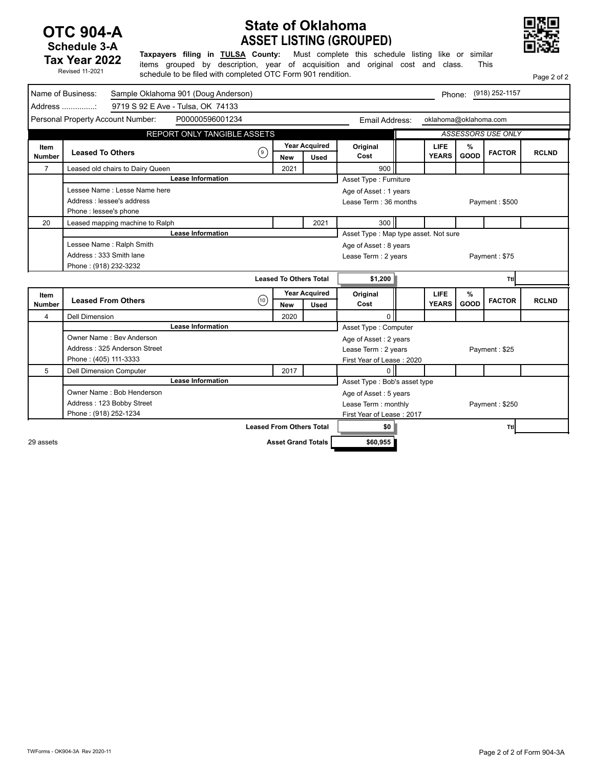### **OTC 904-A Schedule 3-A Tax Year 2022**

Revised 11-2021

## **ASSET LISTING (GROUPED) State of Oklahoma**



Page 2 of 2

**Taxpayers filing in TULSA County:** Must complete this schedule listing like or similar items grouped by description, year of acquisition and original cost and class. This schedule to be filed with completed OTC Form 901 rendition.

|                | Name of Business:<br>Sample Oklahoma 901 (Doug Anderson)<br>Phone: (918) 252-1157 |                                   |                                 |                      |                                        |  |                       |      |                           |              |
|----------------|-----------------------------------------------------------------------------------|-----------------------------------|---------------------------------|----------------------|----------------------------------------|--|-----------------------|------|---------------------------|--------------|
|                | Address :                                                                         | 9719 S 92 E Ave - Tulsa, OK 74133 |                                 |                      |                                        |  |                       |      |                           |              |
|                | Personal Property Account Number:                                                 | P00000596001234                   |                                 |                      | Email Address:                         |  | oklahoma@oklahoma.com |      |                           |              |
|                |                                                                                   | REPORT ONLY TANGIBLE ASSETS       |                                 |                      |                                        |  |                       |      | <b>ASSESSORS USE ONLY</b> |              |
| Item           |                                                                                   |                                   |                                 | <b>Year Acquired</b> | Original                               |  | LIFE                  | %    |                           |              |
| <b>Number</b>  | <b>Leased To Others</b>                                                           | (၅)                               | <b>New</b>                      | <b>Used</b>          | Cost                                   |  | <b>YEARS</b>          | GOOD | <b>FACTOR</b>             | <b>RCLND</b> |
| $\overline{7}$ | Leased old chairs to Dairy Queen                                                  |                                   | 2021                            |                      | 900                                    |  |                       |      |                           |              |
|                |                                                                                   | <b>Lease Information</b>          |                                 |                      | <b>Asset Type: Furniture</b>           |  |                       |      |                           |              |
|                | Lessee Name: Lesse Name here                                                      |                                   |                                 |                      | Age of Asset: 1 years                  |  |                       |      |                           |              |
|                | Address : lessee's address                                                        |                                   |                                 |                      | Lease Term: 36 months                  |  |                       |      | Payment: \$500            |              |
|                | Phone : lessee's phone                                                            |                                   |                                 |                      |                                        |  |                       |      |                           |              |
| 20             | Leased mapping machine to Ralph                                                   |                                   |                                 | 2021                 | 300                                    |  |                       |      |                           |              |
|                |                                                                                   | <b>Lease Information</b>          |                                 |                      | Asset Type: Map type asset. Not sure   |  |                       |      |                           |              |
|                | Lessee Name: Ralph Smith                                                          |                                   |                                 |                      | Age of Asset: 8 years                  |  |                       |      |                           |              |
|                | Address: 333 Smith lane                                                           |                                   |                                 |                      | Lease Term : 2 years                   |  |                       |      | Payment: \$75             |              |
|                | Phone: (918) 232-3232                                                             |                                   |                                 |                      |                                        |  |                       |      |                           |              |
|                |                                                                                   |                                   | <b>Leased To Others Total</b>   |                      | \$1,200                                |  |                       |      | Ttl                       |              |
| Item           |                                                                                   |                                   |                                 | <b>Year Acquired</b> | Original                               |  | LIFE                  | %    |                           |              |
| <b>Number</b>  | <b>Leased From Others</b>                                                         | (10)                              | <b>New</b>                      | <b>Used</b>          | Cost                                   |  | <b>YEARS</b>          | GOOD | <b>FACTOR</b>             | <b>RCLND</b> |
| $\overline{4}$ | <b>Dell Dimension</b>                                                             |                                   | 2020                            |                      | $\Omega$                               |  |                       |      |                           |              |
|                |                                                                                   | <b>Lease Information</b>          |                                 |                      | Asset Type: Computer                   |  |                       |      |                           |              |
|                | Owner Name: Bev Anderson                                                          |                                   |                                 |                      | Age of Asset: 2 years                  |  |                       |      |                           |              |
|                | Address: 325 Anderson Street                                                      |                                   |                                 |                      | Lease Term : 2 years                   |  |                       |      | Payment: \$25             |              |
|                | Phone: (405) 111-3333                                                             |                                   |                                 |                      | First Year of Lease: 2020              |  |                       |      |                           |              |
| 5              | <b>Dell Dimension Computer</b>                                                    |                                   | 2017                            |                      | $\Omega$                               |  |                       |      |                           |              |
|                |                                                                                   | <b>Lease Information</b>          |                                 |                      | Asset Type: Bob's asset type           |  |                       |      |                           |              |
|                | Owner Name: Bob Henderson                                                         |                                   |                                 |                      | Age of Asset: 5 years                  |  |                       |      |                           |              |
|                | Address: 123 Bobby Street                                                         |                                   |                                 |                      | Lease Term : monthly<br>Payment: \$250 |  |                       |      |                           |              |
|                | Phone: (918) 252-1234                                                             |                                   |                                 |                      | First Year of Lease: 2017              |  |                       |      |                           |              |
|                |                                                                                   |                                   |                                 |                      |                                        |  |                       |      |                           |              |
|                |                                                                                   |                                   | <b>Leased From Others Total</b> |                      | \$0                                    |  |                       |      | Ttl                       |              |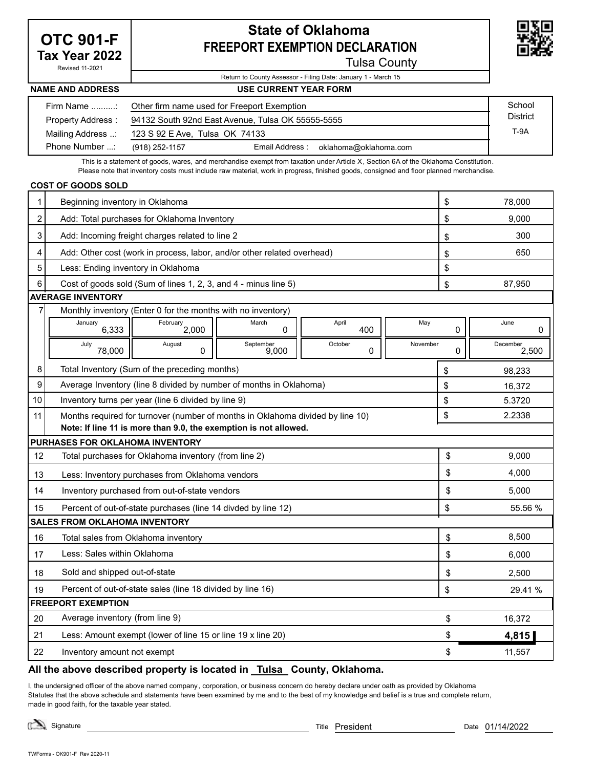## **OTC 901-F Tax Year 2022**

Revised 11-2021

## **State of Oklahoma FREEPORT EXEMPTION DECLARATION**



Tulsa County

### Return to County Assessor - Filing Date: January 1 - March 15 **USE CURRENT YEAR FORM**

### **NAME AND ADDRESS**

| Firm Name :       | Other firm name used for Freeport Exemption               | School |  |
|-------------------|-----------------------------------------------------------|--------|--|
| Property Address: | 94132 South 92nd East Avenue, Tulsa OK 55555-5555         |        |  |
| Mailing Address : | 123 S 92 E Ave, Tulsa OK 74133                            |        |  |
| Phone Number :    | Email Address:<br>oklahoma@oklahoma.com<br>(918) 252-1157 |        |  |

This is a statement of goods, wares, and merchandise exempt from taxation under Article X, Section 6A of the Oklahoma Constitution. Please note that inventory costs must include raw material, work in progress, finished goods, consigned and floor planned merchandise.

### **COST OF GOODS SOLD**

| 1                         | Beginning inventory in Oklahoma                                                             | \$       | 78,000            |  |  |
|---------------------------|---------------------------------------------------------------------------------------------|----------|-------------------|--|--|
| $\overline{c}$            | Add: Total purchases for Oklahoma Inventory                                                 | \$       | 9,000             |  |  |
| 3                         | Add: Incoming freight charges related to line 2                                             | \$       | 300               |  |  |
| 4                         | Add: Other cost (work in process, labor, and/or other related overhead)                     | \$       | 650               |  |  |
| 5                         | Less: Ending inventory in Oklahoma                                                          | \$       |                   |  |  |
| 6                         | Cost of goods sold (Sum of lines 1, 2, 3, and 4 - minus line 5)                             | \$       | 87,950            |  |  |
|                           | <b>AVERAGE INVENTORY</b>                                                                    |          |                   |  |  |
| 7                         | Monthly inventory (Enter 0 for the months with no inventory)                                |          |                   |  |  |
|                           | January<br>March<br>April<br>May<br>$\overline{\text{February}}$ 2,000<br>6,333<br>400<br>0 | 0        | June<br>0         |  |  |
|                           | August<br>September<br>October<br>November<br>July<br>0<br>9,000<br>0<br>78,000             | $\Omega$ | December<br>2,500 |  |  |
| 8                         | Total Inventory (Sum of the preceding months)                                               | \$       | 98,233            |  |  |
| 9                         | Average Inventory (line 8 divided by number of months in Oklahoma)                          | \$       | 16,372            |  |  |
| 10                        | Inventory turns per year (line 6 divided by line 9)                                         | \$       | 5.3720            |  |  |
| 11                        | Months required for turnover (number of months in Oklahoma divided by line 10)              | \$       | 2.2338            |  |  |
|                           | Note: If line 11 is more than 9.0, the exemption is not allowed.                            |          |                   |  |  |
|                           | <b>PURHASES FOR OKLAHOMA INVENTORY</b>                                                      |          |                   |  |  |
| 12                        | Total purchases for Oklahoma inventory (from line 2)                                        | \$       | 9,000             |  |  |
| 13                        | Less: Inventory purchases from Oklahoma vendors                                             | \$       | 4.000             |  |  |
| 14                        | Inventory purchased from out-of-state vendors                                               | \$       | 5,000             |  |  |
| 15                        | Percent of out-of-state purchases (line 14 divded by line 12)                               | \$       | 55.56 %           |  |  |
|                           | <b>SALES FROM OKLAHOMA INVENTORY</b>                                                        |          |                   |  |  |
| 16                        | Total sales from Oklahoma inventory                                                         | \$       | 8,500             |  |  |
| 17                        | Less: Sales within Oklahoma                                                                 | \$       | 6,000             |  |  |
| 18                        | Sold and shipped out-of-state                                                               | \$       | 2,500             |  |  |
| 19                        | Percent of out-of-state sales (line 18 divided by line 16)                                  | \$       | 29.41 %           |  |  |
| <b>FREEPORT EXEMPTION</b> |                                                                                             |          |                   |  |  |
| 20                        | Average inventory (from line 9)                                                             | \$       | 16,372            |  |  |
| 21                        | Less: Amount exempt (lower of line 15 or line 19 x line 20)                                 | \$       | 4,815             |  |  |
| 22                        | Inventory amount not exempt                                                                 | \$       | 11,557            |  |  |

### **All the above described property is located in Tulsa County, Oklahoma.**

I, the undersigned officer of the above named company , corporation, or business concern do hereby declare under oath as provided by Oklahoma Statutes that the above schedule and statements have been examined by me and to the best of my knowledge and belief is a true and complete return, made in good faith, for the taxable year stated.

Signature Title President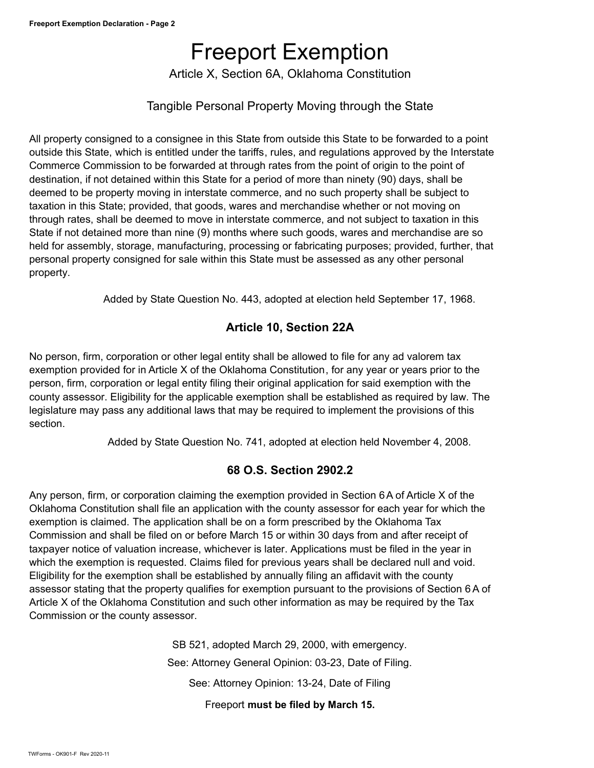# Freeport Exemption

Article X, Section 6A, Oklahoma Constitution

### Tangible Personal Property Moving through the State

All property consigned to a consignee in this State from outside this State to be forwarded to a point outside this State, which is entitled under the tariffs, rules, and regulations approved by the Interstate Commerce Commission to be forwarded at through rates from the point of origin to the point of destination, if not detained within this State for a period of more than ninety (90) days, shall be deemed to be property moving in interstate commerce, and no such property shall be subject to taxation in this State; provided, that goods, wares and merchandise whether or not moving on through rates, shall be deemed to move in interstate commerce, and not subject to taxation in this State if not detained more than nine (9) months where such goods, wares and merchandise are so held for assembly, storage, manufacturing, processing or fabricating purposes; provided, further, that personal property consigned for sale within this State must be assessed as any other personal property.

Added by State Question No. 443, adopted at election held September 17, 1968.

### **Article 10, Section 22A**

No person, firm, corporation or other legal entity shall be allowed to file for any ad valorem tax exemption provided for in Article X of the Oklahoma Constitution, for any year or years prior to the person, firm, corporation or legal entity filing their original application for said exemption with the county assessor. Eligibility for the applicable exemption shall be established as required by law. The legislature may pass any additional laws that may be required to implement the provisions of this section.

Added by State Question No. 741, adopted at election held November 4, 2008.

### **68 O.S. Section 2902.2**

Any person, firm, or corporation claiming the exemption provided in Section 6A of Article X of the Oklahoma Constitution shall file an application with the county assessor for each year for which the exemption is claimed. The application shall be on a form prescribed by the Oklahoma Tax Commission and shall be filed on or before March 15 or within 30 days from and after receipt of taxpayer notice of valuation increase, whichever is later. Applications must be filed in the year in which the exemption is requested. Claims filed for previous years shall be declared null and void. Eligibility for the exemption shall be established by annually filing an affidavit with the county assessor stating that the property qualifies for exemption pursuant to the provisions of Section 6 A of Article X of the Oklahoma Constitution and such other information as may be required by the Tax Commission or the county assessor.

> SB 521, adopted March 29, 2000, with emergency. See: Attorney General Opinion: 03-23, Date of Filing. See: Attorney Opinion: 13-24, Date of Filing

Freeport **must be filed by March 15.**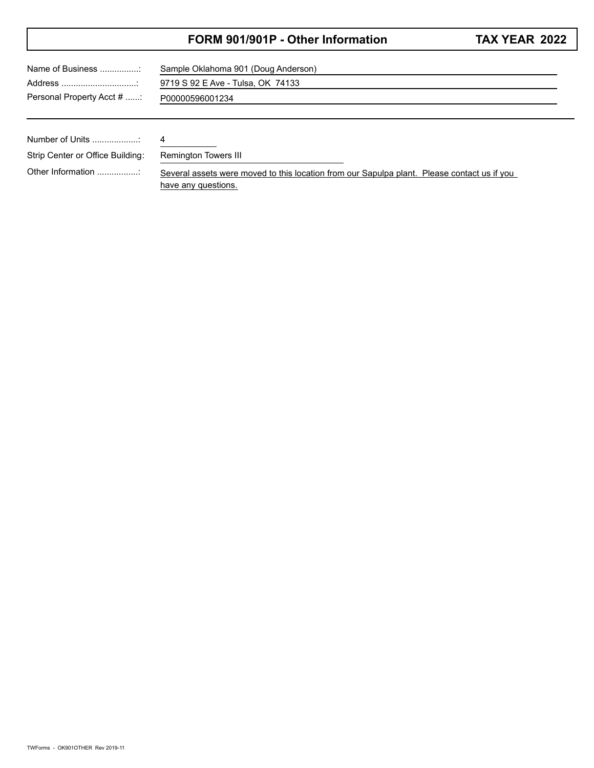### **FORM 901/901P - Other Information**

|  | <b>TAX YEAR 2022</b> |  |
|--|----------------------|--|
|--|----------------------|--|

| Name of Business                 | Sample Oklahoma 901 (Doug Anderson)                                                         |  |  |  |  |  |  |
|----------------------------------|---------------------------------------------------------------------------------------------|--|--|--|--|--|--|
|                                  | 9719 S 92 E Ave - Tulsa, OK 74133                                                           |  |  |  |  |  |  |
| Personal Property Acct #         | P00000596001234                                                                             |  |  |  |  |  |  |
|                                  |                                                                                             |  |  |  |  |  |  |
|                                  |                                                                                             |  |  |  |  |  |  |
| Number of Units                  | 4                                                                                           |  |  |  |  |  |  |
| Strip Center or Office Building: | Remington Towers III                                                                        |  |  |  |  |  |  |
| Other Information                | Several assets were moved to this location from our Sapulpa plant. Please contact us if you |  |  |  |  |  |  |

have any questions.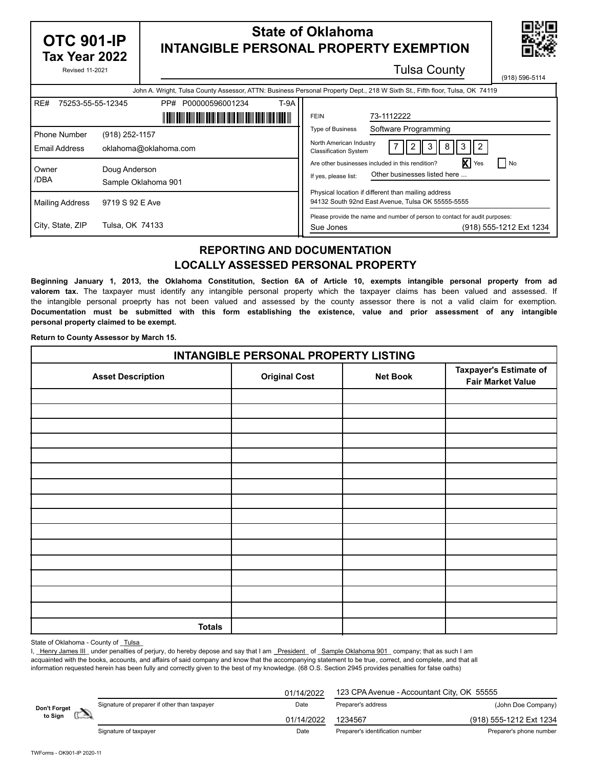| <b>OTC 901-IP</b><br>Tax Year 2022                                      |                                  | <b>State of Oklahoma</b><br><b>INTANGIBLE PERSONAL PROPERTY EXEMPTION</b>                                                            |                                                                                                                                                                                                                                                           |  |  |  |  |  |
|-------------------------------------------------------------------------|----------------------------------|--------------------------------------------------------------------------------------------------------------------------------------|-----------------------------------------------------------------------------------------------------------------------------------------------------------------------------------------------------------------------------------------------------------|--|--|--|--|--|
| <b>Revised 11-2021</b>                                                  |                                  |                                                                                                                                      | <b>Tulsa County</b><br>(918) 596-5114                                                                                                                                                                                                                     |  |  |  |  |  |
|                                                                         |                                  |                                                                                                                                      | John A. Wright, Tulsa County Assessor, ATTN: Business Personal Property Dept., 218 W Sixth St., Fifth floor, Tulsa, OK 74119                                                                                                                              |  |  |  |  |  |
| RE#<br>75253-55-55-12345<br><b>Phone Number</b><br><b>Email Address</b> | (918) 252-1157                   | T-9A<br>PP# P00000596001234<br><u> II dahi dahi dari dari dari dike dike dike dari dalam kalendara III </u><br>oklahoma@oklahoma.com | 73-1112222<br><b>FEIN</b><br>Software Programming<br><b>Type of Business</b><br>North American Industry<br>2 II<br>-3<br>7 I<br>8<br><b>Classification System</b>                                                                                         |  |  |  |  |  |
| Owner<br>/DBA<br><b>Mailing Address</b>                                 | Doug Anderson<br>9719 S 92 E Ave | Sample Oklahoma 901                                                                                                                  | <b>X</b> Yes<br>$\blacksquare$ No<br>Are other businesses included in this rendition?<br>Other businesses listed here<br>If yes, please list:<br>Physical location if different than mailing address<br>94132 South 92nd East Avenue, Tulsa OK 55555-5555 |  |  |  |  |  |
| City, State, ZIP                                                        | Tulsa, OK 74133                  |                                                                                                                                      | Please provide the name and number of person to contact for audit purposes:<br>(918) 555-1212 Ext 1234<br>Sue Jones                                                                                                                                       |  |  |  |  |  |

### **REPORTING AND DOCUMENTATION LOCALLY ASSESSED PERSONAL PROPERTY**

**Beginning January 1, 2013, the Oklahoma Constitution, Section 6A of Article 10, exempts intangible personal property from ad valorem tax.** The taxpayer must identify any intangible personal property which the taxpayer claims has been valued and assessed. If the intangible personal proeprty has not been valued and assessed by the county assessor there is not a valid claim for exemption. **Documentation must be submitted with this form establishing the existence, value and prior assessment of any intangible personal property claimed to be exempt.**

**Return to County Assessor by March 15.**

| <b>INTANGIBLE PERSONAL PROPERTY LISTING</b> |                      |                 |                                                    |  |  |  |  |  |  |
|---------------------------------------------|----------------------|-----------------|----------------------------------------------------|--|--|--|--|--|--|
| <b>Asset Description</b>                    | <b>Original Cost</b> | <b>Net Book</b> | Taxpayer's Estimate of<br><b>Fair Market Value</b> |  |  |  |  |  |  |
|                                             |                      |                 |                                                    |  |  |  |  |  |  |
|                                             |                      |                 |                                                    |  |  |  |  |  |  |
|                                             |                      |                 |                                                    |  |  |  |  |  |  |
|                                             |                      |                 |                                                    |  |  |  |  |  |  |
|                                             |                      |                 |                                                    |  |  |  |  |  |  |
|                                             |                      |                 |                                                    |  |  |  |  |  |  |
|                                             |                      |                 |                                                    |  |  |  |  |  |  |
|                                             |                      |                 |                                                    |  |  |  |  |  |  |
|                                             |                      |                 |                                                    |  |  |  |  |  |  |
|                                             |                      |                 |                                                    |  |  |  |  |  |  |
|                                             |                      |                 |                                                    |  |  |  |  |  |  |
|                                             |                      |                 |                                                    |  |  |  |  |  |  |
|                                             |                      |                 |                                                    |  |  |  |  |  |  |
|                                             |                      |                 |                                                    |  |  |  |  |  |  |
|                                             |                      |                 |                                                    |  |  |  |  |  |  |
| <b>Totals</b>                               |                      |                 |                                                    |  |  |  |  |  |  |

State of Oklahoma - County of Tulsa

I, Henry James III\_ under penalties of perjury, do hereby depose and say that I am \_President\_ of \_Sample Oklahoma 901\_ company; that as such I am acquainted with the books, accounts, and affairs of said company and know that the accompanying statement to be true, correct, and complete, and that all information requested herein has been fully and correctly given to the best of my knowledge. (68 O.S. Section 2945 provides penalties for false oaths)

|              |                                              | 01/14/2022 | 123 CPA Avenue - Accountant City, OK 55555 |                         |  |
|--------------|----------------------------------------------|------------|--------------------------------------------|-------------------------|--|
| Don't Forget | Signature of preparer if other than taxpayer | Date       | Preparer's address                         | (John Doe Company)      |  |
| to Sign      |                                              | 01/14/2022 |                                            | (918) 555-1212 Ext 1234 |  |
|              | Signature of taxpayer                        | Date       | Preparer's identification number           | Preparer's phone number |  |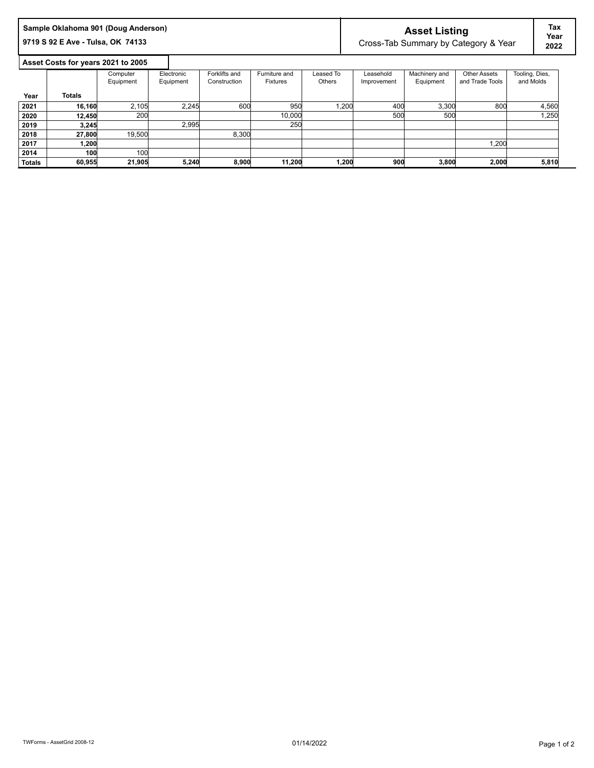| Sample Oklahoma 901 (Doug Anderson) | <b>Asset Listing</b>                 | Tax          |
|-------------------------------------|--------------------------------------|--------------|
| 19719 S 92 E Ave - Tulsa, OK 74133  | Cross-Tab Summary by Category & Year | Year<br>2022 |

### **Asset Costs for years 2021 to 2005**

I

|               |               | Computer  | Electronic | Forklifts and | Furniture and   | Leased To | Leasehold   | Machinery and | <b>Other Assets</b> | Tooling, Dies, |
|---------------|---------------|-----------|------------|---------------|-----------------|-----------|-------------|---------------|---------------------|----------------|
|               |               | Equipment | Equipment  | Construction  | <b>Fixtures</b> | Others    | Improvement | Equipment     | and Trade Tools     | and Molds      |
| Year          | <b>Totals</b> |           |            |               |                 |           |             |               |                     |                |
| 2021          | 16,160        | 2.105     | 2,245      | 600           | 950             | 1,200     | 400         | 3,300         | 800                 | 4,560          |
| 2020          | 12,450        | 200       |            |               | 10,000          |           | 500         | 500           |                     | 1,250          |
| 2019          | 3.245         |           | 2,995      |               | 250             |           |             |               |                     |                |
| 2018          | 27,800        | 19.500    |            | 8,300         |                 |           |             |               |                     |                |
| 2017          | 1.200         |           |            |               |                 |           |             |               | 200. ا              |                |
| 2014          | 100           | 100       |            |               |                 |           |             |               |                     |                |
| <b>Totals</b> | 60.955        | 21.905    | 5,240      | 8,900         | 11,200          | 1,200     | 900         | 3.800         | 2,000               | 5,810          |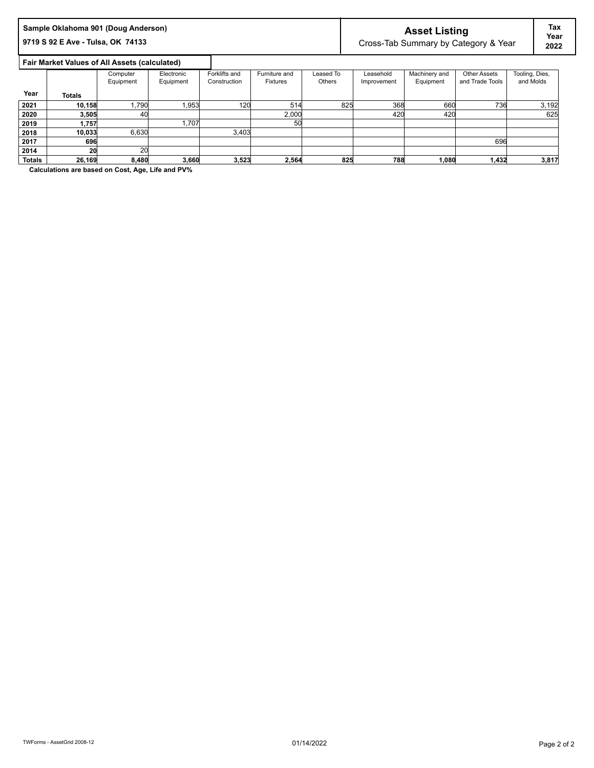# Sample Oklahoma 901 (Doug Anderson)<br>
9719 S 92 E Ave - Tulsa, OK 74133<br> **ASSET AVE - Tulsa, OK 74133**<br>
Superson Cross-Tab Summary by Cate

**981** Cross-Tab Summary by Category & Year 2022

**Tax Year**

 **Fair Market Values of All Assets (calculated)**

|               |               | Computer  | Electronic | Forklifts and | Furniture and   | Leased To | Leasehold   | Machinery and | <b>Other Assets</b> | Tooling, Dies, |
|---------------|---------------|-----------|------------|---------------|-----------------|-----------|-------------|---------------|---------------------|----------------|
|               |               | Equipment | Equipment  | Construction  | <b>Fixtures</b> | Others    | Improvement | Equipment     | and Trade Tools     | and Molds      |
| Year          | <b>Totals</b> |           |            |               |                 |           |             |               |                     |                |
| 2021          | 10,158        | .790      | l.953      | 120           | 514             | 825       | 368         | 660           | 736                 | 3,192          |
| 2020          | 3,505         | 40        |            |               | 2,000           |           | 420         | 420           |                     | 625            |
| 2019          | 1,757         |           | 1.707      |               | 50              |           |             |               |                     |                |
| 2018          | 10,033        | 6,630     |            | 3,403         |                 |           |             |               |                     |                |
| 2017          | 696           |           |            |               |                 |           |             |               | 696                 |                |
| 2014          | 20            | 20        |            |               |                 |           |             |               |                     |                |
| <b>Totals</b> | 26,169        | 8,480     | 3,660      | 3,523         | 2.564           | 825       | 788         | 1,080         | 1,432               | 3,817          |

 $\mathsf{l}$ 

**Calculations are based on Cost, Age, Life and PV%**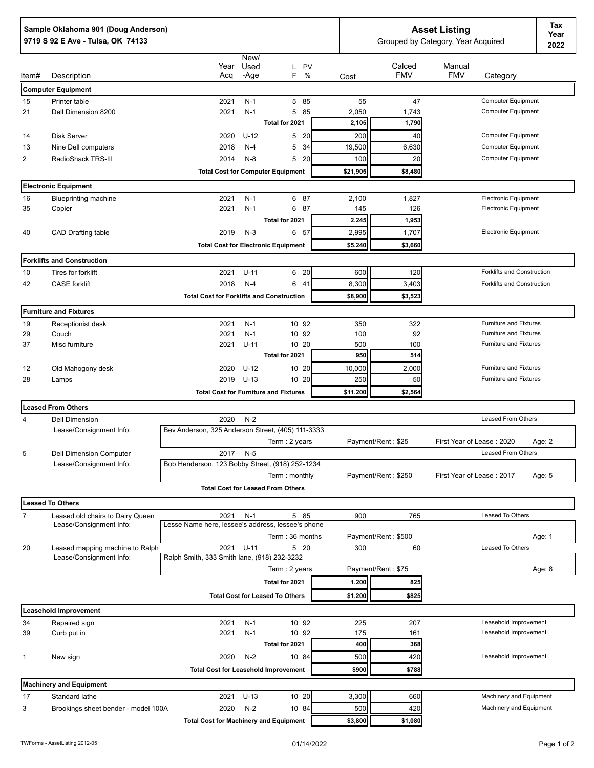|                | Sample Oklahoma 901 (Doug Anderson)<br>9719 S 92 E Ave - Tulsa, OK 74133 |                                                     | Tax<br><b>Asset Listing</b><br>Year<br>Grouped by Category, Year Acquired<br>2022 |                                              |            |                      |                      |                                                |        |
|----------------|--------------------------------------------------------------------------|-----------------------------------------------------|-----------------------------------------------------------------------------------|----------------------------------------------|------------|----------------------|----------------------|------------------------------------------------|--------|
| ltem#          | Description                                                              | Year<br>Acq                                         | New/<br>Used<br>-Age                                                              | L PV<br>F.<br>%                              | Cost       | Calced<br><b>FMV</b> | Manual<br><b>FMV</b> | Category                                       |        |
|                | <b>Computer Equipment</b>                                                |                                                     |                                                                                   |                                              |            |                      |                      |                                                |        |
| 15             | Printer table                                                            | 2021                                                | $N-1$                                                                             | 5 85                                         | 55         | 47                   |                      | Computer Equipment                             |        |
| 21             | Dell Dimension 8200                                                      | 2021                                                | $N-1$                                                                             | 5 85                                         | 2,050      | 1,743                |                      | Computer Equipment                             |        |
|                |                                                                          |                                                     |                                                                                   | Total for 2021                               | 2,105      | 1,790                |                      |                                                |        |
| 14             | <b>Disk Server</b>                                                       | 2020                                                | $U-12$                                                                            | 5 20                                         | 200        | 40                   |                      | Computer Equipment                             |        |
| 13             | Nine Dell computers                                                      | 2018                                                | $N-4$                                                                             | 5<br>34                                      | 19,500     | 6,630                |                      | Computer Equipment                             |        |
| $\overline{2}$ | RadioShack TRS-III                                                       | 2014                                                | $N-8$                                                                             | 5<br>- 20                                    | 100        | 20                   |                      | Computer Equipment                             |        |
|                |                                                                          |                                                     |                                                                                   | <b>Total Cost for Computer Equipment</b>     | \$21,905   | \$8,480              |                      |                                                |        |
|                | <b>Electronic Equipment</b>                                              |                                                     |                                                                                   |                                              |            |                      |                      |                                                |        |
| 16             | <b>Blueprinting machine</b>                                              | 2021                                                | $N-1$                                                                             | 6 87                                         | 2,100      | 1,827                |                      | <b>Electronic Equipment</b>                    |        |
| 35             | Copier                                                                   | 2021                                                | $N-1$                                                                             | 6 87                                         | 145        | 126                  |                      | <b>Electronic Equipment</b>                    |        |
|                |                                                                          |                                                     |                                                                                   | Total for 2021                               | 2,245      | 1,953                |                      |                                                |        |
| 40             | CAD Drafting table                                                       | 2019                                                | $N-3$                                                                             | 6 57                                         | 2,995      | 1,707                |                      | <b>Electronic Equipment</b>                    |        |
|                |                                                                          |                                                     |                                                                                   | <b>Total Cost for Electronic Equipment</b>   | \$5,240    | \$3,660              |                      |                                                |        |
|                | <b>Forklifts and Construction</b>                                        |                                                     |                                                                                   |                                              |            |                      |                      |                                                |        |
| 10             | Tires for forklift                                                       | 2021                                                | $U - 11$                                                                          | 6 20                                         | 600        | 120                  |                      | Forklifts and Construction                     |        |
| 42             | <b>CASE</b> forklift                                                     | 2018                                                | $N-4$                                                                             | 6 41                                         | 8,300      | 3,403                |                      | Forklifts and Construction                     |        |
|                |                                                                          | <b>Total Cost for Forklifts and Construction</b>    |                                                                                   |                                              | \$8,900    | \$3,523              |                      |                                                |        |
|                | <b>Furniture and Fixtures</b>                                            |                                                     |                                                                                   |                                              |            |                      |                      |                                                |        |
| 19             | Receptionist desk                                                        | 2021                                                | $N-1$                                                                             | 10 92                                        | 350        | 322                  |                      | <b>Furniture and Fixtures</b>                  |        |
| 29             | Couch                                                                    | 2021                                                | $N-1$                                                                             | 10 92                                        | 100        | 92                   |                      | <b>Furniture and Fixtures</b>                  |        |
| 37             | Misc furniture                                                           | 2021                                                | $U - 11$                                                                          | 10 20                                        | 500        | 100                  |                      | <b>Furniture and Fixtures</b>                  |        |
|                |                                                                          |                                                     |                                                                                   | Total for 2021                               | 950        | 514                  |                      |                                                |        |
| 12             | Old Mahogony desk                                                        | 2020                                                | $U-12$                                                                            | 10 20                                        | 10,000     | 2,000                |                      | <b>Furniture and Fixtures</b>                  |        |
| 28             | Lamps                                                                    | 2019                                                | $U-13$                                                                            | 10 20                                        | 250        | 50                   |                      | <b>Furniture and Fixtures</b>                  |        |
|                |                                                                          |                                                     |                                                                                   | <b>Total Cost for Furniture and Fixtures</b> | \$11,200   | \$2,564              |                      |                                                |        |
|                | <b>Leased From Others</b>                                                |                                                     |                                                                                   |                                              |            |                      |                      |                                                |        |
| $\overline{4}$ | <b>Dell Dimension</b>                                                    | 2020                                                | $N-2$                                                                             |                                              |            |                      |                      | <b>Leased From Others</b>                      |        |
|                | Lease/Consignment Info:                                                  | Bev Anderson, 325 Anderson Street, (405) 111-3333   |                                                                                   |                                              |            |                      |                      |                                                |        |
|                |                                                                          |                                                     |                                                                                   | Term : 2 years                               |            | Payment/Rent: \$25   |                      | First Year of Lease: 2020                      | Age: 2 |
| 5              | Dell Dimension Computer                                                  | 2017 N-5                                            |                                                                                   |                                              |            |                      |                      | Leased From Others                             |        |
|                | Lease/Consignment Info:                                                  | Bob Henderson, 123 Bobby Street, (918) 252-1234     |                                                                                   |                                              |            |                      |                      |                                                |        |
|                |                                                                          |                                                     |                                                                                   | Term: monthly                                |            | Payment/Rent: \$250  |                      | First Year of Lease: 2017                      | Age: 5 |
|                |                                                                          |                                                     |                                                                                   | <b>Total Cost for Leased From Others</b>     |            |                      |                      |                                                |        |
|                | <b>Leased To Others</b>                                                  |                                                     |                                                                                   |                                              |            |                      |                      |                                                |        |
| 7              | Leased old chairs to Dairy Queen                                         | 2021                                                | $N-1$                                                                             | 5 85                                         | 900        | 765                  |                      | Leased To Others                               |        |
|                | Lease/Consignment Info:                                                  | Lesse Name here, lessee's address, lessee's phone   |                                                                                   |                                              |            |                      |                      |                                                |        |
|                |                                                                          |                                                     |                                                                                   | Term: 36 months                              |            | Payment/Rent: \$500  |                      | Leased To Others                               | Age: 1 |
| 20             | Leased mapping machine to Ralph<br>Lease/Consignment Info:               | 2021<br>Ralph Smith, 333 Smith lane, (918) 232-3232 | $U-11$                                                                            | 5 20                                         | 300        | 60                   |                      |                                                |        |
|                |                                                                          |                                                     |                                                                                   | Term: 2 years                                |            | Payment/Rent: \$75   |                      |                                                | Age: 8 |
|                |                                                                          |                                                     |                                                                                   | Total for 2021                               | 1,200      | 825                  |                      |                                                |        |
|                |                                                                          |                                                     |                                                                                   | <b>Total Cost for Leased To Others</b>       | \$1,200    | \$825                |                      |                                                |        |
|                |                                                                          |                                                     |                                                                                   |                                              |            |                      |                      |                                                |        |
|                | <b>Leasehold Improvement</b>                                             |                                                     |                                                                                   |                                              |            |                      |                      |                                                |        |
| 34<br>39       | Repaired sign<br>Curb put in                                             | 2021<br>2021                                        | $N-1$<br>$N-1$                                                                    | 10 92<br>10 92                               | 225<br>175 | 207<br>161           |                      | Leasehold Improvement<br>Leasehold Improvement |        |
|                |                                                                          |                                                     |                                                                                   | Total for 2021                               | 400        | 368                  |                      |                                                |        |
|                |                                                                          | 2020                                                |                                                                                   | 10 84                                        | 500        | 420                  |                      | Leasehold Improvement                          |        |
| 1              | New sign                                                                 |                                                     | N-2                                                                               |                                              |            |                      |                      |                                                |        |
|                |                                                                          | <b>Total Cost for Leasehold Improvement</b>         |                                                                                   |                                              | \$900      | \$788                |                      |                                                |        |
|                | <b>Machinery and Equipment</b>                                           |                                                     |                                                                                   |                                              |            |                      |                      |                                                |        |
| 17             | Standard lathe                                                           | 2021                                                | $U-13$                                                                            | 10 20                                        | 3,300      | 660                  |                      | Machinery and Equipment                        |        |
| 3              | Brookings sheet bender - model 100A                                      | 2020                                                | $N-2$                                                                             | 10 84                                        | 500        | 420                  |                      | Machinery and Equipment                        |        |
|                |                                                                          | <b>Total Cost for Machinery and Equipment</b>       |                                                                                   |                                              | \$3,800    | \$1,080              |                      |                                                |        |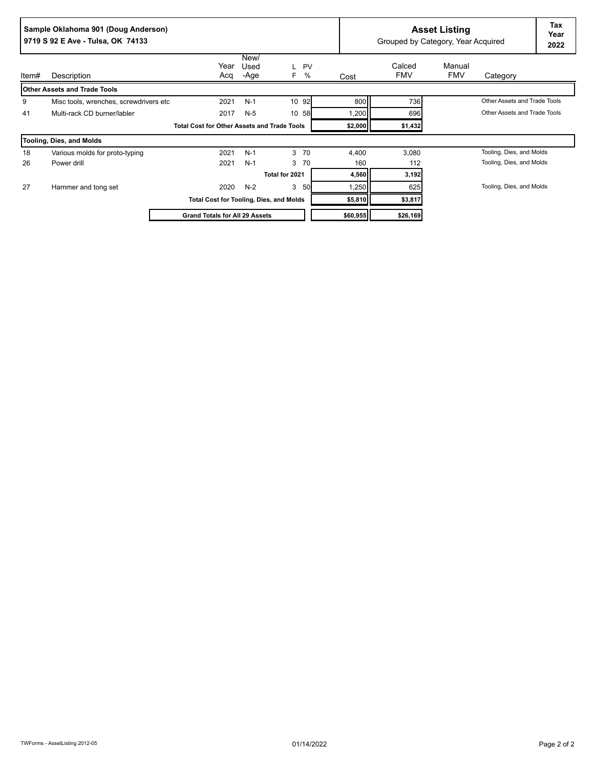|       | Sample Oklahoma 901 (Doug Anderson)<br>9719 S 92 E Ave - Tulsa, OK 74133 |                                                    | <b>Asset Listing</b><br>Grouped by Category, Year Acquired |                     |      |          | Tax<br>Year<br>2022  |                      |                              |  |
|-------|--------------------------------------------------------------------------|----------------------------------------------------|------------------------------------------------------------|---------------------|------|----------|----------------------|----------------------|------------------------------|--|
| ltem# | Description                                                              | Year<br>Acq                                        | New/<br>Used<br>-Age                                       | <b>PV</b><br>%<br>F | Cost |          | Calced<br><b>FMV</b> | Manual<br><b>FMV</b> | Category                     |  |
|       | <b>Other Assets and Trade Tools</b>                                      |                                                    |                                                            |                     |      |          |                      |                      |                              |  |
| 9     | Misc tools, wrenches, screwdrivers etc.                                  | 2021                                               | $N-1$                                                      | 10 92               |      | 800      | 736                  |                      | Other Assets and Trade Tools |  |
| 41    | Multi-rack CD burner/labler                                              | 2017                                               | $N-5$                                                      | 10 58               |      | 1,200    | 696                  |                      | Other Assets and Trade Tools |  |
|       |                                                                          | <b>Total Cost for Other Assets and Trade Tools</b> |                                                            |                     |      | \$2,000  | \$1,432              |                      |                              |  |
|       | Tooling, Dies, and Molds                                                 |                                                    |                                                            |                     |      |          |                      |                      |                              |  |
| 18    | Various molds for proto-typing                                           | 2021                                               | $N-1$                                                      | 3 70                |      | 4,400    | 3,080                |                      | Tooling, Dies, and Molds     |  |
| 26    | Power drill                                                              | 2021                                               | $N-1$                                                      | 3 70                |      | 160      | 112                  |                      | Tooling, Dies, and Molds     |  |
|       |                                                                          |                                                    |                                                            | Total for 2021      |      | 4,560    | 3,192                |                      |                              |  |
| 27    | Hammer and tong set                                                      | 2020                                               | $N-2$                                                      | 3<br>50             |      | 1,250    | 625                  |                      | Tooling, Dies, and Molds     |  |
|       |                                                                          | <b>Total Cost for Tooling, Dies, and Molds</b>     |                                                            |                     |      | \$5,810  | \$3,817              |                      |                              |  |
|       |                                                                          | <b>Grand Totals for All 29 Assets</b>              |                                                            |                     |      | \$60,955 | \$26,169             |                      |                              |  |